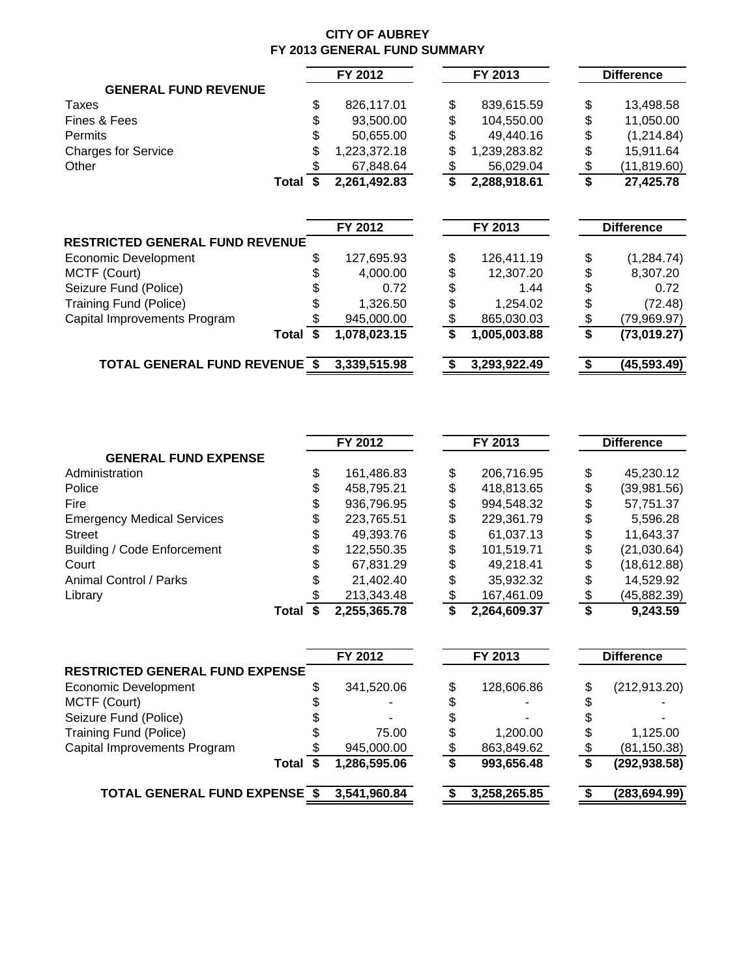#### **CITY OF AUBREY FY 2013 GENERAL FUND SUMMARY**

|   |                                                                                                           |                                               |              |                                                | <b>Difference</b>  |
|---|-----------------------------------------------------------------------------------------------------------|-----------------------------------------------|--------------|------------------------------------------------|--------------------|
|   |                                                                                                           |                                               |              |                                                |                    |
|   |                                                                                                           |                                               |              |                                                |                    |
|   |                                                                                                           |                                               |              |                                                | 13,498.58          |
|   |                                                                                                           |                                               |              |                                                | 11,050.00          |
|   | 50,655.00                                                                                                 | \$                                            | 49,440.16    |                                                | \$<br>(1,214.84)   |
|   | 1,223,372.18                                                                                              | \$                                            | 1,239,283.82 |                                                | \$<br>15,911.64    |
|   | 67,848.64                                                                                                 | \$                                            | 56,029.04    |                                                | \$<br>(11, 819.60) |
| S | 2,261,492.83                                                                                              | $\overline{\boldsymbol{s}}$                   | 2,288,918.61 |                                                | \$<br>27,425.78    |
|   |                                                                                                           |                                               |              |                                                |                    |
|   |                                                                                                           |                                               |              |                                                |                    |
|   |                                                                                                           |                                               |              |                                                | <b>Difference</b>  |
|   |                                                                                                           |                                               |              |                                                |                    |
|   | 127,695.93                                                                                                | \$                                            | 126,411.19   |                                                | \$<br>(1, 284.74)  |
|   | 4,000.00                                                                                                  | \$                                            | 12,307.20    |                                                | \$<br>8,307.20     |
|   | 0.72                                                                                                      | \$                                            | 1.44         |                                                | \$<br>0.72         |
|   | 1,326.50                                                                                                  | \$                                            | 1,254.02     |                                                | (72.48)            |
|   | 945,000.00                                                                                                | \$                                            | 865,030.03   |                                                | (79,969.97)        |
|   | 1,078,023.15                                                                                              | \$                                            | 1,005,003.88 |                                                | \$<br>(73,019.27)  |
|   | 3,339,515.98                                                                                              |                                               | 3,293,922.49 |                                                | (45,593.49)        |
|   | \$<br>Total<br><b>RESTRICTED GENERAL FUND REVENUE</b><br>Total \$<br><b>TOTAL GENERAL FUND REVENUE \$</b> | FY 2012<br>826,117.01<br>93,500.00<br>FY 2012 | \$<br>\$     | FY 2013<br>839,615.59<br>104,550.00<br>FY 2013 | \$<br>\$           |

|                                    |       | FY 2012      |    | FY 2013      |    | <b>Difference</b> |
|------------------------------------|-------|--------------|----|--------------|----|-------------------|
| <b>GENERAL FUND EXPENSE</b>        |       |              |    |              |    |                   |
| Administration                     | \$    | 161,486.83   | \$ | 206,716.95   | \$ | 45,230.12         |
| Police                             | \$    | 458,795.21   | \$ | 418,813.65   | S  | (39,981.56)       |
| Fire                               | \$    | 936,796.95   | \$ | 994,548.32   | S  | 57,751.37         |
| <b>Emergency Medical Services</b>  | \$    | 223,765.51   | \$ | 229,361.79   | S  | 5,596.28          |
| <b>Street</b>                      |       | 49,393.76    | \$ | 61,037.13    | S  | 11,643.37         |
| <b>Building / Code Enforcement</b> | \$    | 122,550.35   | \$ | 101,519.71   | S  | (21,030.64)       |
| Court                              |       | 67,831.29    | \$ | 49.218.41    | S  | (18, 612.88)      |
| Animal Control / Parks             | S     | 21,402.40    | \$ | 35,932.32    | S  | 14,529.92         |
| Library                            |       | 213,343.48   | œ  | 167,461.09   |    | (45, 882.39)      |
|                                    | Total | 2,255,365.78 | S  | 2,264,609.37 |    | 9,243.59          |

|                                        | FY 2012      |    | FY 2013      | <b>Difference</b> |
|----------------------------------------|--------------|----|--------------|-------------------|
| <b>RESTRICTED GENERAL FUND EXPENSE</b> |              |    |              |                   |
| Economic Development                   | 341,520.06   | \$ | 128,606.86   | (212, 913.20)     |
| MCTF (Court)                           |              | \$ |              |                   |
| Seizure Fund (Police)                  |              |    |              |                   |
| <b>Training Fund (Police)</b>          | 75.00        | S  | 1,200.00     | 1,125.00          |
| Capital Improvements Program           | 945,000.00   |    | 863,849.62   | (81, 150.38)      |
| Total                                  | 1,286,595.06 |    | 993,656.48   | (292, 938.58)     |
| <b>TOTAL GENERAL FUND EXPENSE \$</b>   | 3,541,960.84 |    | 3,258,265.85 | (283, 694.99)     |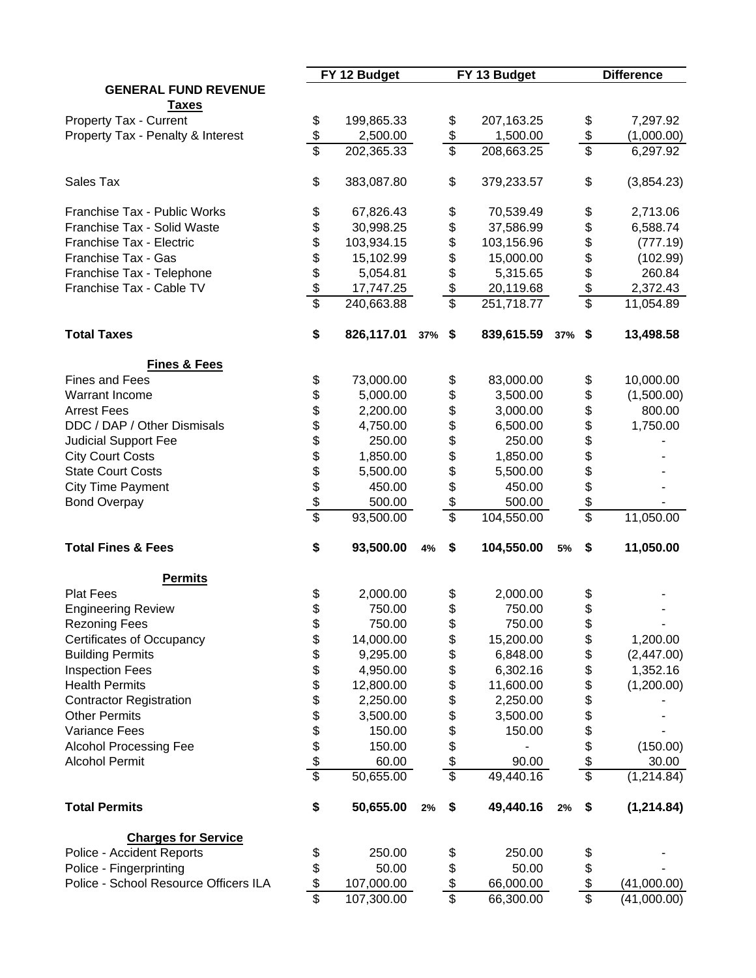|                                       |                 | FY 12 Budget |        |                 | FY 13 Budget |     |                          | <b>Difference</b> |
|---------------------------------------|-----------------|--------------|--------|-----------------|--------------|-----|--------------------------|-------------------|
| <b>GENERAL FUND REVENUE</b>           |                 |              |        |                 |              |     |                          |                   |
| <b>Taxes</b>                          |                 |              |        |                 |              |     |                          |                   |
| Property Tax - Current                | \$              | 199,865.33   |        | \$              | 207,163.25   |     | \$                       | 7,297.92          |
| Property Tax - Penalty & Interest     | \$              | 2,500.00     |        | \$              | 1,500.00     |     | $\frac{6}{5}$            | (1,000.00)        |
|                                       | $\overline{\$}$ | 202,365.33   |        | $\overline{\$}$ | 208,663.25   |     |                          | 6,297.92          |
| Sales Tax                             | \$              | 383,087.80   |        | \$              | 379,233.57   |     | \$                       | (3,854.23)        |
| Franchise Tax - Public Works          | \$              | 67,826.43    |        | \$              | 70,539.49    |     | \$                       | 2,713.06          |
| Franchise Tax - Solid Waste           | \$              | 30,998.25    |        | \$              | 37,586.99    |     | \$                       | 6,588.74          |
| Franchise Tax - Electric              | \$              | 103,934.15   |        | \$              | 103,156.96   |     | \$                       | (777.19)          |
| Franchise Tax - Gas                   | \$              | 15,102.99    |        | \$              | 15,000.00    |     | \$                       | (102.99)          |
| Franchise Tax - Telephone             | \$              | 5,054.81     |        | \$              | 5,315.65     |     | \$                       | 260.84            |
| Franchise Tax - Cable TV              |                 | 17,747.25    |        | \$              | 20,119.68    |     | $\frac{1}{2}$            | 2,372.43          |
|                                       | $\frac{3}{3}$   | 240,663.88   |        | $\overline{\$}$ | 251,718.77   |     | $\overline{\mathcal{S}}$ | 11,054.89         |
| <b>Total Taxes</b>                    | \$              | 826,117.01   | 37% \$ |                 | 839,615.59   | 37% | \$                       | 13,498.58         |
| <b>Fines &amp; Fees</b>               |                 |              |        |                 |              |     |                          |                   |
| <b>Fines and Fees</b>                 | \$              | 73,000.00    |        | \$              | 83,000.00    |     | \$                       | 10,000.00         |
| <b>Warrant Income</b>                 | \$              | 5,000.00     |        | \$              | 3,500.00     |     | \$                       | (1,500.00)        |
| <b>Arrest Fees</b>                    | \$              | 2,200.00     |        | \$              | 3,000.00     |     | \$                       | 800.00            |
| DDC / DAP / Other Dismisals           |                 | 4,750.00     |        | \$              | 6,500.00     |     | \$                       | 1,750.00          |
| <b>Judicial Support Fee</b>           | \$<br>\$        | 250.00       |        | \$              | 250.00       |     |                          |                   |
| <b>City Court Costs</b>               |                 | 1,850.00     |        | \$              | 1,850.00     |     | \$\$\$                   |                   |
| <b>State Court Costs</b>              |                 | 5,500.00     |        | \$              | 5,500.00     |     |                          |                   |
| <b>City Time Payment</b>              |                 | 450.00       |        | \$              | 450.00       |     |                          |                   |
| <b>Bond Overpay</b>                   | \$\$\$\$        | 500.00       |        | \$              | 500.00       |     | \$                       |                   |
|                                       | \$              | 93,500.00    |        | \$              | 104,550.00   |     | \$                       | 11,050.00         |
| <b>Total Fines &amp; Fees</b>         | \$              | 93,500.00    | 4%     | \$              | 104,550.00   | 5%  | \$                       | 11,050.00         |
| <b>Permits</b>                        |                 |              |        |                 |              |     |                          |                   |
| <b>Plat Fees</b>                      | \$              | 2,000.00     |        | \$              | 2,000.00     |     | \$                       |                   |
| <b>Engineering Review</b>             | \$              | 750.00       |        | \$              | 750.00       |     | \$                       |                   |
| <b>Rezoning Fees</b>                  | \$              | 750.00       |        | \$              | 750.00       |     | \$                       |                   |
| Certificates of Occupancy             | \$              | 14,000.00    |        | \$              | 15,200.00    |     | \$                       | 1,200.00          |
| <b>Building Permits</b>               | \$              | 9,295.00     |        | \$              | 6,848.00     |     | \$                       | (2,447.00)        |
| <b>Inspection Fees</b>                |                 | 4,950.00     |        | \$              | 6,302.16     |     | \$                       | 1,352.16          |
| <b>Health Permits</b>                 | \$\$            |              |        |                 | 11,600.00    |     |                          | (1,200.00)        |
|                                       |                 | 12,800.00    |        | \$              | 2,250.00     |     | \$                       |                   |
| <b>Contractor Registration</b>        |                 | 2,250.00     |        | \$              |              |     | \$                       |                   |
| <b>Other Permits</b>                  | \$              | 3,500.00     |        | \$              | 3,500.00     |     | \$                       |                   |
| Variance Fees                         | \$\$            | 150.00       |        | \$              | 150.00       |     | \$<br>\$                 |                   |
| <b>Alcohol Processing Fee</b>         |                 | 150.00       |        | \$              |              |     |                          | (150.00)          |
| <b>Alcohol Permit</b>                 |                 | 60.00        |        | $\frac{1}{2}$   | 90.00        |     | $\frac{1}{2}$            | 30.00             |
|                                       | $\overline{\$}$ | 50,655.00    |        | \$              | 49,440.16    |     | \$                       | (1,214.84)        |
| <b>Total Permits</b>                  | \$              | 50,655.00    | 2%     | \$              | 49,440.16    | 2%  | \$                       | (1, 214.84)       |
| <b>Charges for Service</b>            |                 |              |        |                 |              |     |                          |                   |
| Police - Accident Reports             | \$              | 250.00       |        | \$              | 250.00       |     |                          |                   |
| Police - Fingerprinting               | \$              | 50.00        |        | \$              | 50.00        |     | \$<br>\$                 |                   |
| Police - School Resource Officers ILA | \$              | 107,000.00   |        | \$              | 66,000.00    |     | \$                       | (41,000.00)       |
|                                       | $\overline{\$}$ | 107,300.00   |        | $\overline{\$}$ | 66,300.00    |     | \$                       | (41,000.00)       |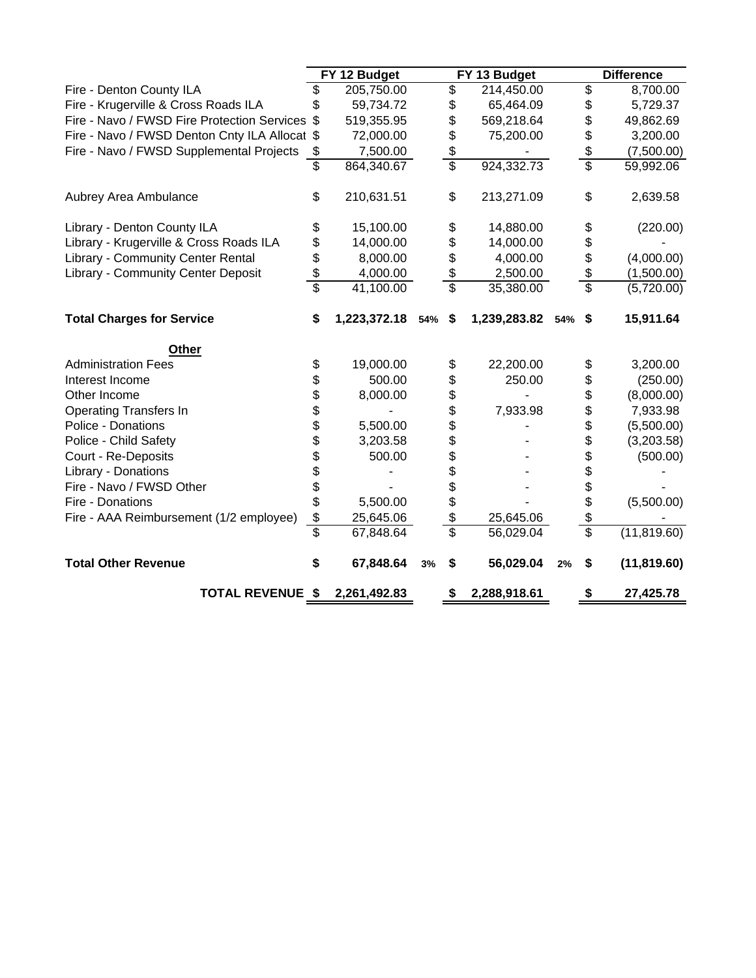|                                                |                 | FY 12 Budget     |    |                           | FY 13 Budget     |    |                          | <b>Difference</b> |
|------------------------------------------------|-----------------|------------------|----|---------------------------|------------------|----|--------------------------|-------------------|
| Fire - Denton County ILA                       | \$              | 205,750.00       |    | \$                        | 214,450.00       |    | \$                       | 8,700.00          |
| Fire - Krugerville & Cross Roads ILA           |                 | 59,734.72        |    | \$                        | 65,464.09        |    | \$                       | 5,729.37          |
| Fire - Navo / FWSD Fire Protection Services \$ |                 | 519,355.95       |    | \$                        | 569,218.64       |    | \$                       | 49,862.69         |
| Fire - Navo / FWSD Denton Cnty ILA Allocat \$  |                 | 72,000.00        |    | \$                        | 75,200.00        |    | \$                       | 3,200.00          |
| Fire - Navo / FWSD Supplemental Projects       | \$              | 7,500.00         |    | \$                        |                  |    | \$                       | (7,500.00)        |
|                                                | \$              | 864,340.67       |    | \$                        | 924,332.73       |    | \$                       | 59,992.06         |
| Aubrey Area Ambulance                          | \$              | 210,631.51       |    | \$                        | 213,271.09       |    | \$                       | 2,639.58          |
| Library - Denton County ILA                    | \$              | 15,100.00        |    | \$                        | 14,880.00        |    | \$                       | (220.00)          |
| Library - Krugerville & Cross Roads ILA        | \$              | 14,000.00        |    | \$                        | 14,000.00        |    | \$                       |                   |
| <b>Library - Community Center Rental</b>       | \$              | 8,000.00         |    | \$                        | 4,000.00         |    | \$                       | (4,000.00)        |
| Library - Community Center Deposit             | \$              | 4,000.00         |    | \$                        | 2,500.00         |    | \$                       | (1,500.00)        |
|                                                | $\overline{\$}$ | 41,100.00        |    | \$                        | 35,380.00        |    | $\overline{\$}$          | (5,720.00)        |
| <b>Total Charges for Service</b>               | \$              | 1,223,372.18 54% |    | \$                        | 1,239,283.82 54% |    | \$                       | 15,911.64         |
| Other                                          |                 |                  |    |                           |                  |    |                          |                   |
| <b>Administration Fees</b>                     | \$              | 19,000.00        |    | \$                        | 22,200.00        |    | \$                       | 3,200.00          |
| Interest Income                                | \$              | 500.00           |    | \$                        | 250.00           |    | \$                       | (250.00)          |
| Other Income                                   | \$              | 8,000.00         |    | \$                        |                  |    | \$                       | (8,000.00)        |
| <b>Operating Transfers In</b>                  | \$              |                  |    | \$                        | 7,933.98         |    | \$                       | 7,933.98          |
| Police - Donations                             | \$              | 5,500.00         |    | \$                        |                  |    | \$                       | (5,500.00)        |
| Police - Child Safety                          | \$              | 3,203.58         |    | \$                        |                  |    | \$                       | (3,203.58)        |
| Court - Re-Deposits                            | \$              | 500.00           |    | \$                        |                  |    | \$                       | (500.00)          |
| Library - Donations                            | \$              |                  |    | \$                        |                  |    | \$                       |                   |
| Fire - Navo / FWSD Other                       | \$              |                  |    |                           |                  |    | \$                       |                   |
| Fire - Donations                               | \$              | 5,500.00         |    | \$                        |                  |    | \$                       | (5,500.00)        |
| Fire - AAA Reimbursement (1/2 employee)        | \$              | 25,645.06        |    | \$                        | 25,645.06        |    | \$                       |                   |
|                                                | \$              | 67,848.64        |    | $\overline{\mathfrak{s}}$ | 56,029.04        |    | $\overline{\mathcal{S}}$ | (11, 819.60)      |
| <b>Total Other Revenue</b>                     | \$              | 67,848.64        | 3% | \$                        | 56,029.04        | 2% | S                        | (11, 819.60)      |
| <b>TOTAL REVENUE \$</b>                        |                 | 2,261,492.83     |    | \$                        | 2,288,918.61     |    | \$                       | 27,425.78         |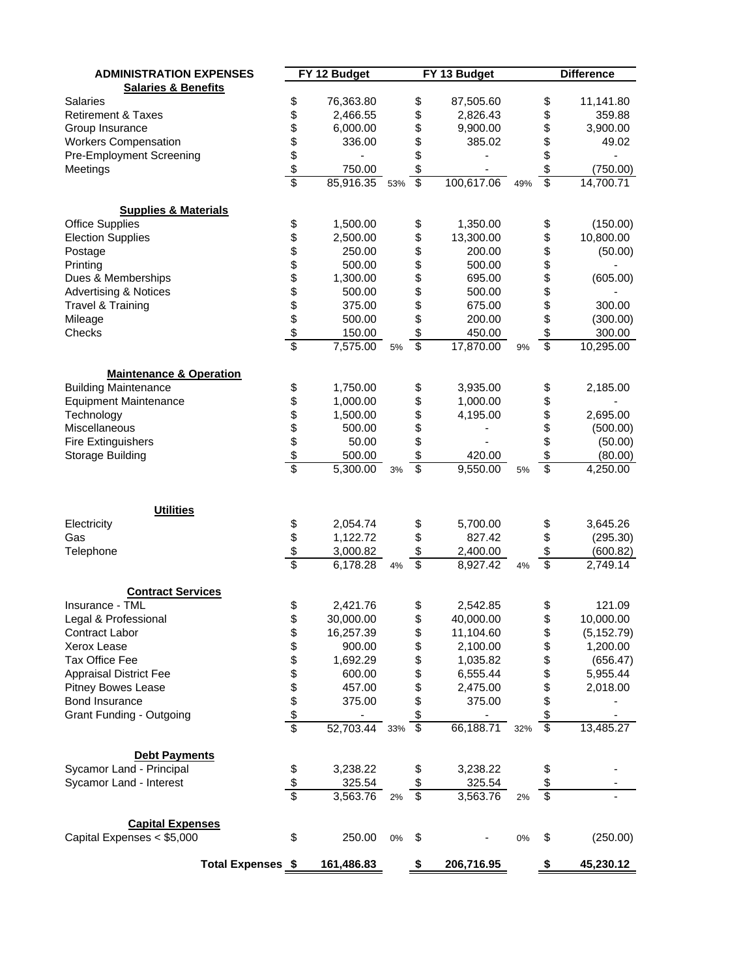| <b>ADMINISTRATION EXPENSES</b>                   |                               | FY 12 Budget          |     |                          | FY 13 Budget          |     |                         | <b>Difference</b>        |
|--------------------------------------------------|-------------------------------|-----------------------|-----|--------------------------|-----------------------|-----|-------------------------|--------------------------|
| <b>Salaries &amp; Benefits</b>                   |                               |                       |     |                          |                       |     |                         |                          |
| <b>Salaries</b>                                  | \$                            | 76,363.80             |     | \$                       | 87,505.60             |     | \$                      | 11,141.80                |
| <b>Retirement &amp; Taxes</b>                    |                               | 2,466.55              |     | \$                       | 2,826.43              |     | \$                      | 359.88                   |
| Group Insurance                                  |                               | 6,000.00              |     | \$                       | 9,900.00              |     | \$                      | 3,900.00                 |
| <b>Workers Compensation</b>                      |                               | 336.00                |     | \$                       | 385.02                |     | \$                      | 49.02                    |
| Pre-Employment Screening                         |                               |                       |     | \$                       |                       |     | \$                      |                          |
| Meetings                                         |                               | 750.00                |     | \$                       |                       |     | \$                      | (750.00)                 |
|                                                  | \$\$\$\$\$\$                  | 85,916.35 53%         |     | $\overline{\$}$          | 100,617.06            | 49% | $\overline{\mathbb{S}}$ | 14,700.71                |
|                                                  |                               |                       |     |                          |                       |     |                         |                          |
| <b>Supplies &amp; Materials</b>                  |                               |                       |     |                          |                       |     |                         |                          |
| <b>Office Supplies</b>                           |                               | 1,500.00              |     | \$                       | 1,350.00              |     | \$                      | (150.00)                 |
| <b>Election Supplies</b>                         |                               | 2,500.00              |     | \$                       | 13,300.00             |     | \$                      | 10,800.00                |
| Postage                                          |                               | 250.00                |     | \$                       | 200.00                |     | \$                      | (50.00)                  |
| Printing                                         |                               | 500.00                |     | \$                       | 500.00                |     | \$                      |                          |
| Dues & Memberships                               |                               | 1,300.00              |     |                          | 695.00                |     | \$                      | (605.00)                 |
| <b>Advertising &amp; Notices</b>                 |                               | 500.00                |     | \$\$\$                   | 500.00                |     |                         |                          |
| Travel & Training                                |                               | 375.00                |     |                          | 675.00                |     | \$<br>\$                | 300.00                   |
| Mileage                                          |                               | 500.00                |     |                          | 200.00                |     | \$                      | (300.00)                 |
| Checks                                           |                               |                       |     | \$                       |                       |     | \$                      | 300.00                   |
|                                                  | <u> 2010 A SA SA SA SA SA</u> | 150.00<br>7,575.00    | 5%  | $\overline{\$}$          | 450.00<br>17,870.00   | 9%  | $\overline{\$}$         | $\overline{10}$ , 295.00 |
|                                                  |                               |                       |     |                          |                       |     |                         |                          |
| <b>Maintenance &amp; Operation</b>               |                               |                       |     |                          |                       |     |                         |                          |
| <b>Building Maintenance</b>                      |                               | 1,750.00              |     | \$                       | 3,935.00              |     | \$                      | 2,185.00                 |
| <b>Equipment Maintenance</b>                     |                               | 1,000.00              |     |                          | 1,000.00              |     | \$                      |                          |
| Technology                                       |                               | 1,500.00              |     | \$\$                     | 4,195.00              |     | \$                      | 2,695.00                 |
| Miscellaneous                                    |                               | 500.00                |     |                          |                       |     | \$                      | (500.00)                 |
| <b>Fire Extinguishers</b>                        |                               | 50.00                 |     | \$                       |                       |     | \$                      | (50.00)                  |
| Storage Building                                 |                               | 500.00                |     | \$                       | 420.00                |     | \$                      | (80.00)                  |
|                                                  |                               | 5,300.00              | 3%  | \$                       | 9,550.00              | 5%  | \$                      | 4,250.00                 |
|                                                  |                               |                       |     |                          |                       |     |                         |                          |
| <b>Utilities</b>                                 |                               |                       |     |                          |                       |     |                         |                          |
| Electricity                                      |                               | 2,054.74              |     | \$                       | 5,700.00              |     | \$                      | 3,645.26                 |
| Gas                                              |                               | 1,122.72              |     | \$                       | 827.42                |     | \$                      | (295.30)                 |
| Telephone                                        |                               | 3,000.82              |     | \$                       | 2,400.00              |     | \$                      | (600.82)                 |
|                                                  | \$\$\$                        | $\overline{6,}178.28$ | 4%  | $\overline{\mathcal{S}}$ | $\overline{8,927.42}$ | 4%  | $\overline{\$}$         | 2,749.14                 |
|                                                  |                               |                       |     |                          |                       |     |                         |                          |
| <b>Contract Services</b>                         |                               |                       |     |                          |                       |     |                         |                          |
| Insurance - TML                                  | \$                            | 2,421.76              |     | \$                       | 2,542.85              |     | \$                      | 121.09                   |
| Legal & Professional                             | \$                            | 30,000.00             |     | \$                       | 40,000.00             |     | \$                      | 10,000.00                |
| Contract Labor                                   |                               | 16,257.39             |     | \$                       | 11,104.60             |     | \$                      | (5, 152.79)              |
| Xerox Lease                                      |                               | 900.00                |     | \$                       | 2,100.00              |     | \$                      | 1,200.00                 |
| Tax Office Fee                                   |                               | 1,692.29              |     | \$                       | 1,035.82              |     | \$                      | (656.47)                 |
| <b>Appraisal District Fee</b>                    |                               | 600.00                |     |                          | 6,555.44              |     | \$                      | 5,955.44                 |
| <b>Pitney Bowes Lease</b>                        |                               | 457.00                |     | \$                       | 2,475.00              |     | \$                      | 2,018.00                 |
| Bond Insurance                                   |                               | 375.00                |     | \$                       | 375.00                |     | \$                      |                          |
| <b>Grant Funding - Outgoing</b>                  | \$\$\$\$\$\$\$\$\$            |                       |     | \$                       |                       |     | \$                      |                          |
|                                                  |                               | 52,703.44             | 33% | ङ                        | 66,188.71             | 32% | $\overline{\$}$         | 13,485.27                |
|                                                  |                               |                       |     |                          |                       |     |                         |                          |
| <b>Debt Payments</b><br>Sycamor Land - Principal |                               | 3,238.22              |     |                          | 3,238.22              |     |                         |                          |
|                                                  | \$<br>$\frac{1}{2}$           | 325.54                |     | \$<br>\$                 | 325.54                |     | \$<br>\$                |                          |
| Sycamor Land - Interest                          | \$                            | 3,563.76              | 2%  | $\overline{\mathcal{S}}$ | 3,563.76              | 2%  | \$                      |                          |
|                                                  |                               |                       |     |                          |                       |     |                         |                          |
| <b>Capital Expenses</b>                          |                               |                       |     |                          |                       |     |                         |                          |
| Capital Expenses < \$5,000                       | \$                            | 250.00                | 0%  | \$                       |                       | 0%  | \$                      | (250.00)                 |
| <b>Total Expenses \$</b>                         |                               | 161,486.83            |     | \$                       | 206,716.95            |     | \$                      | 45,230.12                |
|                                                  |                               |                       |     |                          |                       |     |                         |                          |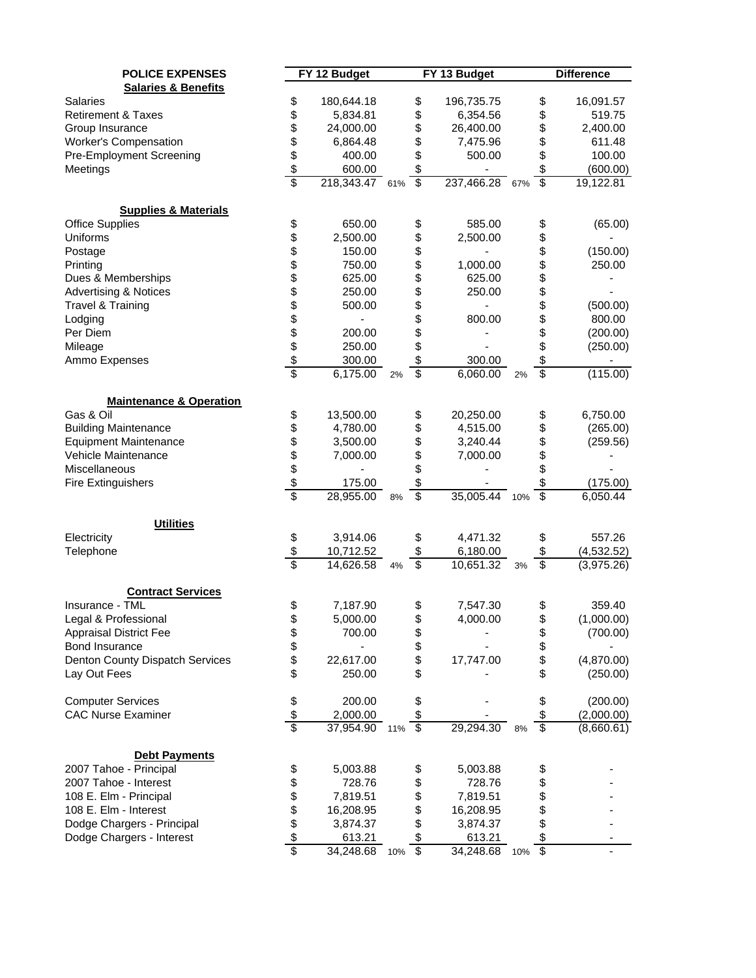| <b>POLICE EXPENSES</b>                                    |                     | FY 12 Budget           |     |                               | FY 13 Budget          |     |                               | <b>Difference</b>        |
|-----------------------------------------------------------|---------------------|------------------------|-----|-------------------------------|-----------------------|-----|-------------------------------|--------------------------|
| <b>Salaries &amp; Benefits</b>                            |                     |                        |     |                               |                       |     |                               |                          |
| <b>Salaries</b>                                           | \$                  | 180,644.18             |     | \$                            | 196,735.75            |     | \$                            | 16,091.57                |
| <b>Retirement &amp; Taxes</b>                             | \$                  | 5,834.81               |     | \$                            | 6,354.56              |     | \$                            | 519.75                   |
| Group Insurance                                           |                     | 24,000.00              |     | \$                            | 26,400.00             |     | \$                            | 2,400.00                 |
| Worker's Compensation                                     | \$\$\$              | 6,864.48               |     | \$                            | 7,475.96              |     | \$                            | 611.48                   |
| Pre-Employment Screening                                  |                     | 400.00                 |     | \$                            | 500.00                |     | \$                            | 100.00                   |
| Meetings                                                  |                     | 600.00                 |     | \$                            |                       |     | \$                            | (600.00)                 |
|                                                           | \$                  | 218,343.47 61%         |     | $\overline{\mathbf{s}}$       | 237,466.28 67%        |     | $\overline{\mathcal{S}}$      | 19,122.81                |
|                                                           |                     |                        |     |                               |                       |     |                               |                          |
| <b>Supplies &amp; Materials</b><br><b>Office Supplies</b> | \$                  | 650.00                 |     |                               | 585.00                |     |                               | (65.00)                  |
| Uniforms                                                  | \$                  | 2,500.00               |     | \$<br>\$                      | 2,500.00              |     | \$                            |                          |
| Postage                                                   |                     | 150.00                 |     | \$                            |                       |     | \$<br>\$                      | (150.00)                 |
|                                                           | 88888888            | 750.00                 |     |                               |                       |     |                               |                          |
| Printing                                                  |                     |                        |     | \$                            | 1,000.00              |     | <b>888888</b>                 | 250.00                   |
| Dues & Memberships                                        |                     | 625.00                 |     | \$                            | 625.00                |     |                               |                          |
| <b>Advertising &amp; Notices</b>                          |                     | 250.00                 |     | \$                            | 250.00                |     |                               |                          |
| <b>Travel &amp; Training</b>                              |                     | 500.00                 |     |                               |                       |     |                               | (500.00)                 |
| Lodging                                                   |                     |                        |     | \$                            | 800.00                |     |                               | 800.00                   |
| Per Diem                                                  |                     | 200.00                 |     | \$                            |                       |     |                               | (200.00)                 |
| Mileage                                                   |                     | 250.00                 |     | \$                            |                       |     | \$                            | (250.00)                 |
| Ammo Expenses                                             |                     | 300.00                 |     | \$                            | 300.00                |     | \$                            |                          |
|                                                           |                     | 6,175.00               | 2%  | \$                            | 6,060.00              | 2%  | \$                            | (115.00)                 |
| <b>Maintenance &amp; Operation</b>                        |                     |                        |     |                               |                       |     |                               |                          |
| Gas & Oil                                                 | \$                  | 13,500.00              |     | \$                            | 20,250.00             |     | \$                            | 6,750.00                 |
| <b>Building Maintenance</b>                               |                     | 4,780.00               |     | \$                            | 4,515.00              |     | \$                            | (265.00)                 |
| <b>Equipment Maintenance</b>                              |                     | 3,500.00               |     | \$                            | 3,240.44              |     |                               | (259.56)                 |
| Vehicle Maintenance                                       |                     | 7,000.00               |     | \$                            | 7,000.00              |     |                               |                          |
| Miscellaneous                                             |                     |                        |     | \$                            |                       |     | \$\$                          |                          |
| <b>Fire Extinguishers</b>                                 |                     | 175.00                 |     | \$                            |                       |     | \$                            | (175.00)                 |
|                                                           | \$\$\$\$\$\$        | 28,955.00              | 8%  | \$                            | 35,005.44 10%         |     | $\overline{\mathcal{S}}$      | 6,050.44                 |
|                                                           |                     |                        |     |                               |                       |     |                               |                          |
| <b>Utilities</b>                                          |                     |                        |     |                               |                       |     |                               |                          |
| Electricity                                               | \$                  | 3,914.06               |     | \$                            | 4,471.32              |     | \$                            | 557.26                   |
| Telephone                                                 | $\frac{1}{2}$<br>\$ | 10,712.52<br>14,626.58 | 4%  | \$<br>$\overline{\mathbf{S}}$ | 6,180.00<br>10,651.32 | 3%  | \$<br>$\overline{\mathbf{S}}$ | (4,532.52)<br>(3,975.26) |
|                                                           |                     |                        |     |                               |                       |     |                               |                          |
| <b>Contract Services</b>                                  |                     |                        |     |                               |                       |     |                               |                          |
| Insurance - TML                                           | \$                  | 7,187.90               |     | \$                            | 7,547.30              |     | \$                            | 359.40                   |
| Legal & Professional                                      | \$                  | 5,000.00               |     | \$                            | 4,000.00              |     | \$                            | (1,000.00)               |
| <b>Appraisal District Fee</b>                             |                     | 700.00                 |     | \$                            |                       |     | \$                            | (700.00)                 |
| Bond Insurance                                            | \$<br>\$            |                        |     | \$                            |                       |     |                               |                          |
| Denton County Dispatch Services                           |                     | 22,617.00              |     | \$                            | 17,747.00             |     | \$                            | (4,870.00)               |
| Lay Out Fees                                              | \$                  | 250.00                 |     | \$                            |                       |     | \$                            | (250.00)                 |
| <b>Computer Services</b>                                  |                     | 200.00                 |     | \$                            |                       |     | \$                            | (200.00)                 |
| <b>CAC Nurse Examiner</b>                                 | $\frac{1}{2}$       | 2,000.00               |     | \$                            |                       |     | \$                            | (2,000.00)               |
|                                                           |                     | 37,954.90 11%          |     | $\overline{\mathfrak{s}}$     | 29,294.30             | 8%  | $\overline{\$}$               | (8,660.61)               |
| <b>Debt Payments</b>                                      |                     |                        |     |                               |                       |     |                               |                          |
| 2007 Tahoe - Principal                                    | \$                  | 5,003.88               |     |                               | 5,003.88              |     |                               |                          |
| 2007 Tahoe - Interest                                     |                     | 728.76                 |     | \$                            | 728.76                |     | \$<br>\$                      |                          |
| 108 E. Elm - Principal                                    |                     |                        |     | \$                            | 7,819.51              |     |                               |                          |
|                                                           |                     | 7,819.51               |     | \$                            |                       |     | \$                            |                          |
| 108 E. Elm - Interest                                     |                     | 16,208.95              |     | \$                            | 16,208.95             |     | \$                            |                          |
| Dodge Chargers - Principal                                | \$\$\$\$\$\$        | 3,874.37               |     | \$                            | 3,874.37              |     | \$                            |                          |
| Dodge Chargers - Interest                                 |                     | 613.21                 |     | \$                            | 613.21                |     | \$<br>$\overline{\$}$         |                          |
|                                                           |                     | 34,248.68              | 10% | $\overline{\mathcal{E}}$      | 34,248.68             | 10% |                               |                          |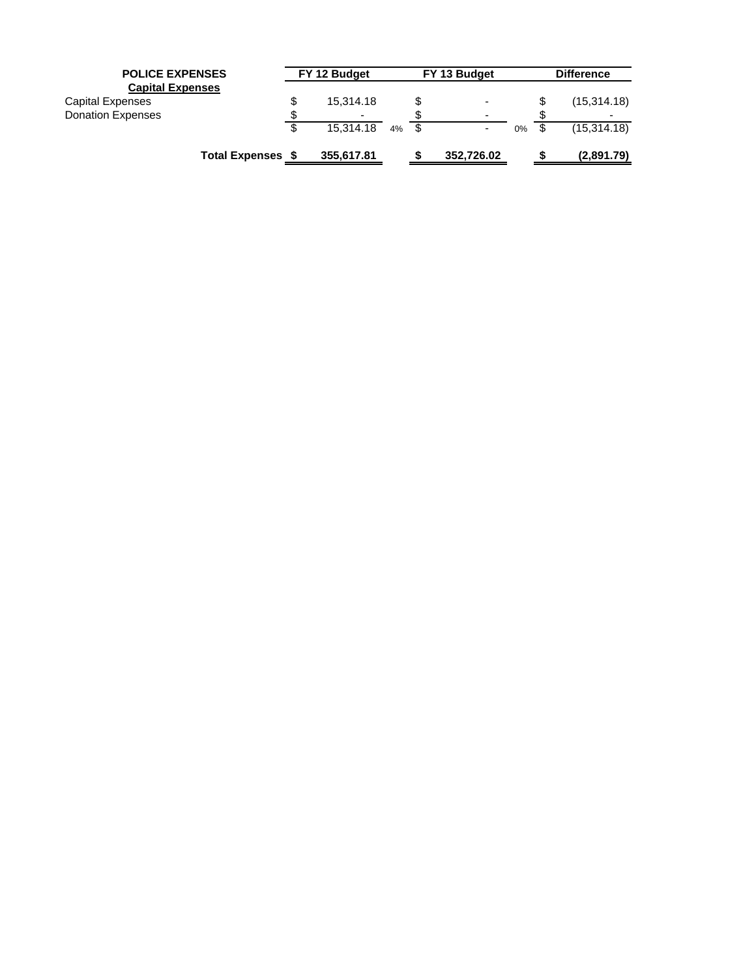| <b>POLICE EXPENSES</b>   |                       | FY 12 Budget |    | FY 13 Budget             |    | <b>Difference</b> |
|--------------------------|-----------------------|--------------|----|--------------------------|----|-------------------|
| <b>Capital Expenses</b>  |                       |              |    |                          |    |                   |
| Capital Expenses         | \$                    | 15,314.18    |    | $\overline{\phantom{0}}$ |    | (15, 314.18)      |
| <b>Donation Expenses</b> |                       | -            |    | $\overline{\phantom{0}}$ |    |                   |
|                          | \$                    | 15.314.18    | 4% |                          | 0% | (15,314.18)       |
|                          | <b>Total Expenses</b> | 355,617.81   |    | 352,726.02               |    | (2,891.79)        |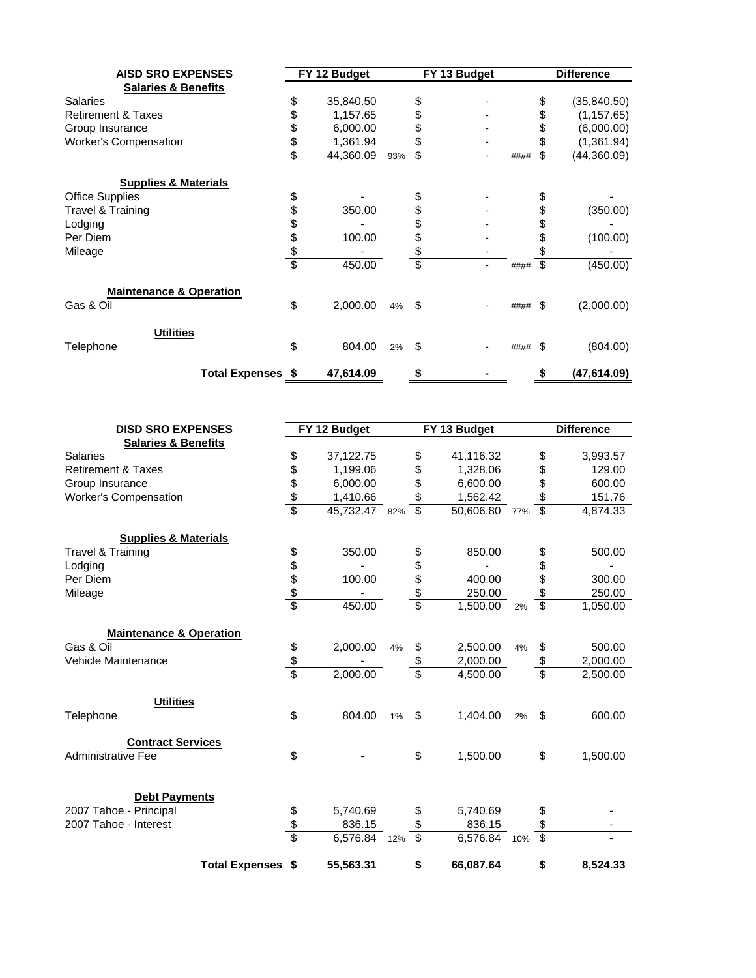| <b>AISD SRO EXPENSES</b>           |                          |               | FY 12 Budget |     | FY 13 Budget |      | <b>Difference</b> |
|------------------------------------|--------------------------|---------------|--------------|-----|--------------|------|-------------------|
| <b>Salaries &amp; Benefits</b>     |                          |               |              |     |              |      |                   |
| <b>Salaries</b>                    |                          | \$            | 35,840.50    |     | \$           |      | (35,840.50)       |
| <b>Retirement &amp; Taxes</b>      |                          | \$            | 1,157.65     |     | \$           |      | (1, 157.65)       |
| Group Insurance                    |                          | \$            | 6,000.00     |     |              |      | (6,000.00)        |
| <b>Worker's Compensation</b>       |                          | $\frac{3}{3}$ | 1,361.94     |     | \$           |      | (1,361.94)        |
|                                    |                          |               | 44,360.09    | 93% | \$           | #### | \$<br>(44,360.09) |
| <b>Supplies &amp; Materials</b>    |                          |               |              |     |              |      |                   |
| <b>Office Supplies</b>             |                          | \$            |              |     |              |      |                   |
| Travel & Training                  |                          | \$            | 350.00       |     | \$           |      | (350.00)          |
| Lodging                            |                          | \$            |              |     | \$           |      |                   |
| Per Diem                           |                          | \$            | 100.00       |     | \$           |      | (100.00)          |
| Mileage                            |                          | $\frac{3}{3}$ |              |     | \$           |      |                   |
|                                    |                          |               | 450.00       |     | \$           | #### | \$<br>(450.00)    |
| <b>Maintenance &amp; Operation</b> |                          |               |              |     |              |      |                   |
| Gas & Oil                          |                          | \$            | 2,000.00     | 4%  | \$           | #### | \$<br>(2,000.00)  |
| <b>Utilities</b>                   |                          |               |              |     |              |      |                   |
| Telephone                          |                          | \$            | 804.00       | 2%  | \$           | #### | \$<br>(804.00)    |
|                                    | <b>Total Expenses \$</b> |               | 47,614.09    |     |              |      | \$<br>(47,614.09) |

| <b>DISD SRO EXPENSES</b>           |                          |               | FY 12 Budget  |    |                 | FY 13 Budget  |    |                          | <b>Difference</b> |
|------------------------------------|--------------------------|---------------|---------------|----|-----------------|---------------|----|--------------------------|-------------------|
| <b>Salaries &amp; Benefits</b>     |                          |               |               |    |                 |               |    |                          |                   |
| <b>Salaries</b>                    |                          | \$            | 37,122.75     |    | \$              | 41,116.32     |    | \$                       | 3,993.57          |
| <b>Retirement &amp; Taxes</b>      |                          |               | 1,199.06      |    | \$              | 1,328.06      |    | \$                       | 129.00            |
| Group Insurance                    |                          |               | 6,000.00      |    | \$              | 6,600.00      |    | \$                       | 600.00            |
| Worker's Compensation              |                          | \$\$\$\$      | 1,410.66      |    | \$              | 1,562.42      |    | \$                       | 151.76            |
|                                    |                          |               | 45,732.47 82% |    | \$              | 50,606.80 77% |    | $\overline{\mathcal{S}}$ | 4,874.33          |
| <b>Supplies &amp; Materials</b>    |                          |               |               |    |                 |               |    |                          |                   |
| Travel & Training                  |                          |               | 350.00        |    | \$              | 850.00        |    | \$                       | 500.00            |
| Lodging                            |                          |               |               |    |                 |               |    | \$                       |                   |
| Per Diem                           |                          |               | 100.00        |    |                 | 400.00        |    | \$                       | 300.00            |
| Mileage                            |                          | \$\$\$\$\$    |               |    | \$\$\$          | 250.00        |    | \$                       | 250.00            |
|                                    |                          |               | 450.00        |    |                 | 1,500.00      | 2% | $\overline{\mathbb{S}}$  | 1,050.00          |
| <b>Maintenance &amp; Operation</b> |                          |               |               |    |                 |               |    |                          |                   |
| Gas & Oil                          |                          |               | 2,000.00      | 4% | \$              | 2,500.00      | 4% | \$                       | 500.00            |
| Vehicle Maintenance                |                          | $\frac{6}{3}$ |               |    | \$              | 2,000.00      |    | \$                       | 2,000.00          |
|                                    |                          |               | 2,000.00      |    | \$              | 4,500.00      |    | \$                       | 2,500.00          |
| <b>Utilities</b>                   |                          |               |               |    |                 |               |    |                          |                   |
| Telephone                          |                          | \$            | 804.00        | 1% | \$              | 1.404.00      | 2% | \$                       | 600.00            |
| <b>Contract Services</b>           |                          |               |               |    |                 |               |    |                          |                   |
| Administrative Fee                 |                          | \$            |               |    | \$              | 1,500.00      |    | \$                       | 1,500.00          |
| <b>Debt Payments</b>               |                          |               |               |    |                 |               |    |                          |                   |
| 2007 Tahoe - Principal             |                          | \$            | 5,740.69      |    | \$              | 5,740.69      |    |                          |                   |
| 2007 Tahoe - Interest              |                          |               | 836.15        |    | \$              | 836.15        |    | \$                       |                   |
|                                    |                          | $\frac{3}{3}$ | 6,576.84 12%  |    | $\overline{\$}$ | 6,576.84 10%  |    | $\overline{\$}$          |                   |
|                                    | <b>Total Expenses \$</b> |               | 55,563.31     |    | \$              | 66,087.64     |    | \$                       | 8.524.33          |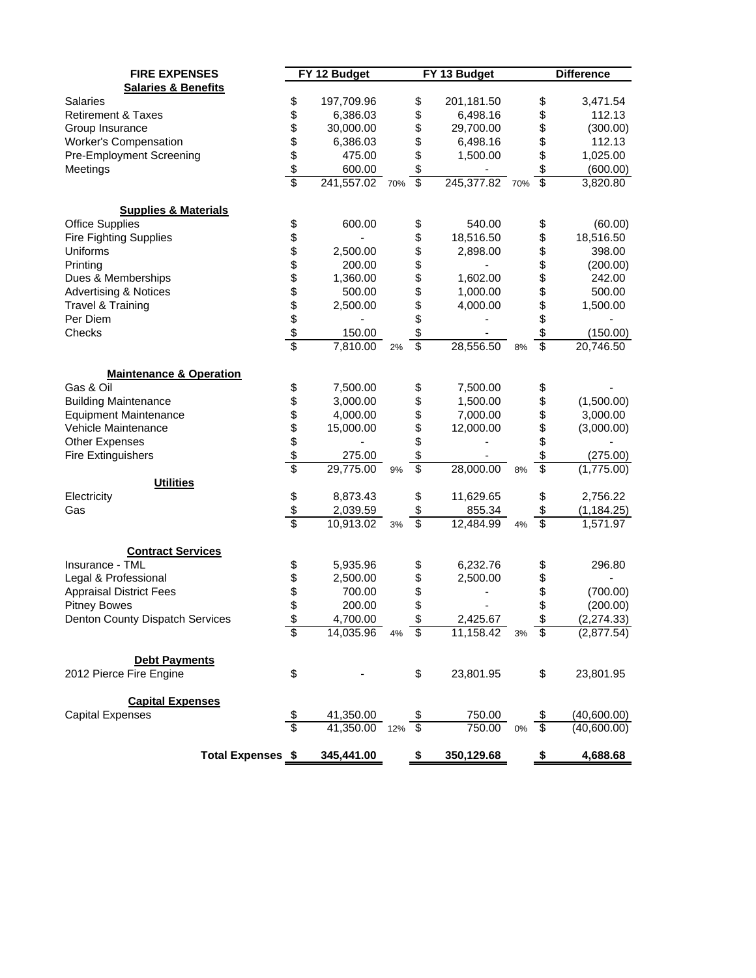| <b>FIRE EXPENSES</b>               |                   |                                   |    |                               |                              |       |                       |                         |
|------------------------------------|-------------------|-----------------------------------|----|-------------------------------|------------------------------|-------|-----------------------|-------------------------|
| <b>Salaries &amp; Benefits</b>     |                   | FY 12 Budget                      |    |                               | FY 13 Budget                 |       |                       | <b>Difference</b>       |
| <b>Salaries</b>                    | \$                | 197,709.96                        |    | \$                            | 201,181.50                   |       | \$                    | 3,471.54                |
| <b>Retirement &amp; Taxes</b>      | \$                | 6,386.03                          |    | \$                            | 6,498.16                     |       | \$                    | 112.13                  |
| Group Insurance                    |                   | 30,000.00                         |    | \$                            | 29,700.00                    |       | \$                    | (300.00)                |
| Worker's Compensation              | \$\$\$            | 6,386.03                          |    | \$                            | 6,498.16                     |       | \$                    | 112.13                  |
|                                    |                   |                                   |    |                               |                              |       |                       |                         |
| Pre-Employment Screening           |                   | 475.00                            |    | \$                            | 1,500.00                     |       | \$                    | 1,025.00                |
| Meetings                           | \$                | 600.00                            |    | \$<br>$\overline{\mathbf{s}}$ |                              |       | \$<br>$\overline{\$}$ | (600.00)                |
|                                    |                   | 241,557.02 70%                    |    |                               | 245,377.82 70%               |       |                       | 3,820.80                |
| <b>Supplies &amp; Materials</b>    |                   |                                   |    |                               |                              |       |                       |                         |
| <b>Office Supplies</b>             | \$                | 600.00                            |    | \$                            | 540.00                       |       | \$                    | (60.00)                 |
| <b>Fire Fighting Supplies</b>      |                   |                                   |    | \$                            | 18,516.50                    |       | \$                    | 18,516.50               |
| Uniforms                           |                   | 2,500.00                          |    | \$                            | 2,898.00                     |       | \$                    | 398.00                  |
| Printing                           |                   | 200.00                            |    | \$                            |                              |       | \$                    | (200.00)                |
| Dues & Memberships                 |                   | 1,360.00                          |    | \$                            | 1,602.00                     |       | \$                    | 242.00                  |
| <b>Advertising &amp; Notices</b>   |                   | 500.00                            |    | \$                            | 1,000.00                     |       |                       | 500.00                  |
| Travel & Training                  |                   | 2,500.00                          |    | \$                            | 4,000.00                     |       | \$<br>\$              | 1,500.00                |
| Per Diem                           |                   |                                   |    | \$                            |                              |       | \$                    |                         |
| Checks                             |                   | 150.00                            |    | \$                            |                              |       | \$                    | (150.00)                |
|                                    | 8888888           | 7,810.00                          | 2% | $\overline{\$}$               | 28,556.50                    | 8%    | $\overline{\$}$       | 20,746.50               |
|                                    |                   |                                   |    |                               |                              |       |                       |                         |
| <b>Maintenance &amp; Operation</b> |                   |                                   |    |                               |                              |       |                       |                         |
| Gas & Oil                          | \$                | 7,500.00                          |    | \$                            | 7,500.00                     |       | \$                    |                         |
| <b>Building Maintenance</b>        | <b>\$\$\$\$\$</b> | 3,000.00                          |    | \$                            | 1,500.00                     |       | \$                    | (1,500.00)              |
| <b>Equipment Maintenance</b>       |                   | 4,000.00                          |    | \$                            | 7,000.00                     |       | \$                    | 3,000.00                |
| Vehicle Maintenance                |                   | 15,000.00                         |    | \$                            | 12,000.00                    |       | \$                    | (3,000.00)              |
| <b>Other Expenses</b>              |                   |                                   |    | \$                            |                              |       | \$                    |                         |
| <b>Fire Extinguishers</b>          |                   | 275.00                            |    | \$                            |                              |       | \$                    | (275.00)                |
| <b>Utilities</b>                   | $\overline{\$}$   | 29,775.00                         | 9% | \$                            | 28,000.00                    | 8%    | \$                    | (1,775.00)              |
| Electricity                        |                   | 8,873.43                          |    | \$                            | 11,629.65                    |       | \$                    | 2,756.22                |
| Gas                                | \$                |                                   |    | \$                            | 855.34                       |       | \$                    |                         |
|                                    | \$                | 2,039.59<br>10,913.02             |    | $\overline{\mathbf{S}}$       | 12,484.99                    |       | $\overline{\$}$       | (1, 184.25)<br>1,571.97 |
|                                    |                   |                                   | 3% |                               |                              | 4%    |                       |                         |
| <b>Contract Services</b>           |                   |                                   |    |                               |                              |       |                       |                         |
| Insurance - TML                    | \$                | 5,935.96                          |    | \$                            | 6,232.76                     |       | \$                    | 296.80                  |
| Legal & Professional               |                   | 2,500.00                          |    | \$                            | 2,500.00                     |       | \$                    |                         |
| <b>Appraisal District Fees</b>     | \$\$              | 700.00                            |    | \$                            |                              |       | \$                    | (700.00)                |
| <b>Pitney Bowes</b>                |                   | 200.00                            |    | \$                            |                              |       | \$                    | (200.00)                |
| Denton County Dispatch Services    |                   |                                   |    | \$                            |                              |       |                       | (2, 274.33)             |
|                                    |                   | $\frac{4,700.00}{14,035.96}$      | 4% | \$                            | $\frac{2,425.67}{11,158.42}$ | 3%    | \$                    | (2,877.54)              |
| <b>Debt Payments</b>               |                   |                                   |    |                               |                              |       |                       |                         |
| 2012 Pierce Fire Engine            | \$                |                                   |    | \$                            | 23,801.95                    |       | \$                    | 23,801.95               |
|                                    |                   |                                   |    |                               |                              |       |                       |                         |
| <b>Capital Expenses</b>            |                   |                                   |    |                               |                              |       |                       |                         |
| <b>Capital Expenses</b>            | \$                | $\frac{41,350.00}{41,350.00}$ 12% |    |                               | 750.00                       |       |                       | (40,600.00)             |
|                                    | \$                |                                   |    | $\overline{\$}$               | 750.00                       | $0\%$ | $\overline{\$}$       | (40,600.00)             |
| <b>Total Expenses \$</b>           |                   | 345,441.00                        |    | \$                            | 350,129.68                   |       | \$                    | 4,688.68                |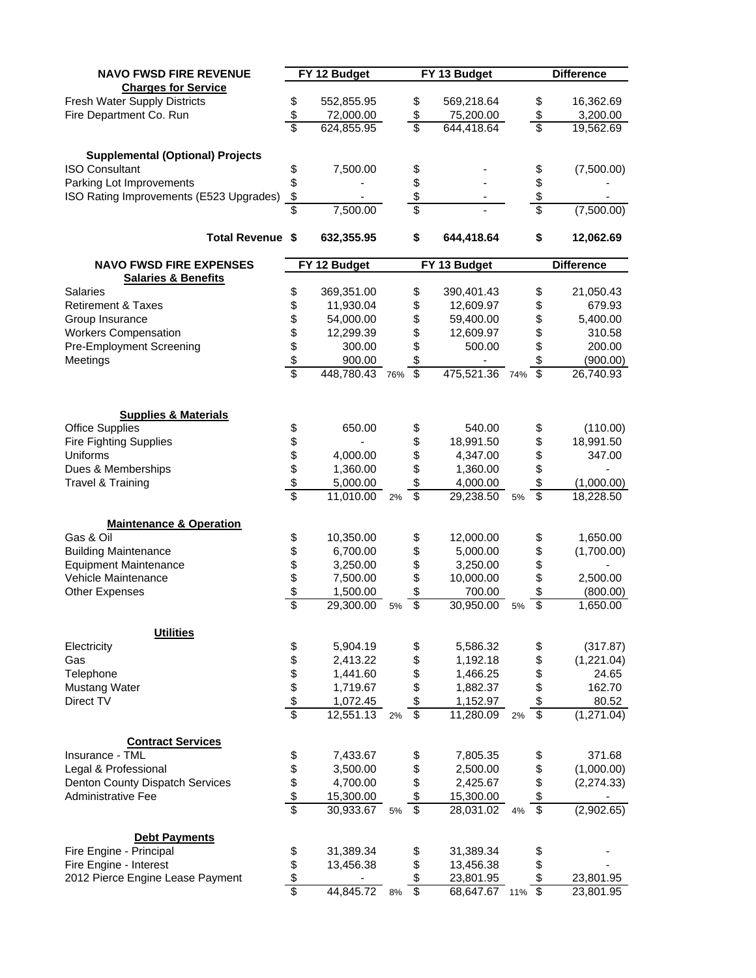| <b>NAVO FWSD FIRE REVENUE</b>           |                         | FY 12 Budget   |    |                          | FY 13 Budget   |    |                          | <b>Difference</b> |
|-----------------------------------------|-------------------------|----------------|----|--------------------------|----------------|----|--------------------------|-------------------|
| <b>Charges for Service</b>              |                         |                |    |                          |                |    |                          |                   |
| Fresh Water Supply Districts            | \$                      | 552,855.95     |    | \$                       | 569,218.64     |    | \$                       | 16,362.69         |
| Fire Department Co. Run                 | \$                      | 72,000.00      |    | \$                       | 75,200.00      |    | \$                       | 3,200.00          |
|                                         | \$                      | 624,855.95     |    | \$                       | 644,418.64     |    | \$                       | 19,562.69         |
|                                         |                         |                |    |                          |                |    |                          |                   |
| <b>Supplemental (Optional) Projects</b> |                         |                |    |                          |                |    |                          |                   |
| <b>ISO Consultant</b>                   | \$                      | 7,500.00       |    | \$                       |                |    | \$                       | (7,500.00)        |
| Parking Lot Improvements                | \$                      |                |    | \$                       |                |    | \$                       |                   |
| ISO Rating Improvements (E523 Upgrades) | $\sqrt[6]{\frac{1}{2}}$ |                |    |                          |                |    | \$                       |                   |
|                                         |                         | 7,500.00       |    | $\frac{$}{\$}$           |                |    | \$                       | (7,500.00)        |
|                                         |                         |                |    |                          |                |    |                          |                   |
| <b>Total Revenue \$</b>                 |                         | 632,355.95     |    | \$                       | 644,418.64     |    | \$                       | 12,062.69         |
|                                         |                         |                |    |                          |                |    |                          |                   |
| <b>NAVO FWSD FIRE EXPENSES</b>          |                         | FY 12 Budget   |    |                          | FY 13 Budget   |    |                          | <b>Difference</b> |
| <b>Salaries &amp; Benefits</b>          |                         |                |    |                          |                |    |                          |                   |
| Salaries                                | \$                      | 369,351.00     |    | \$                       | 390,401.43     |    | \$                       | 21,050.43         |
| <b>Retirement &amp; Taxes</b>           | \$                      | 11,930.04      |    | \$                       | 12,609.97      |    | \$                       | 679.93            |
| Group Insurance                         |                         | 54,000.00      |    | \$                       | 59,400.00      |    | \$                       | 5,400.00          |
| <b>Workers Compensation</b>             |                         | 12,299.39      |    | \$                       | 12,609.97      |    | \$                       | 310.58            |
| Pre-Employment Screening                |                         | 300.00         |    | \$                       | 500.00         |    | \$                       | 200.00            |
| Meetings                                |                         | 900.00         |    | \$                       |                |    | \$                       | (900.00)          |
|                                         | \$\$\$\$                | 448,780.43 76% |    | $\overline{\mathbf{s}}$  | 475,521.36 74% |    | $\overline{\mathcal{S}}$ | 26,740.93         |
|                                         |                         |                |    |                          |                |    |                          |                   |
|                                         |                         |                |    |                          |                |    |                          |                   |
| <b>Supplies &amp; Materials</b>         |                         |                |    |                          |                |    |                          |                   |
| <b>Office Supplies</b>                  | \$                      | 650.00         |    | \$                       | 540.00         |    | \$                       | (110.00)          |
| <b>Fire Fighting Supplies</b>           |                         |                |    | \$                       | 18,991.50      |    | \$                       | 18,991.50         |
| Uniforms                                |                         | 4,000.00       |    | \$                       | 4,347.00       |    | \$                       | 347.00            |
| Dues & Memberships                      |                         | 1,360.00       |    |                          |                |    |                          |                   |
|                                         |                         |                |    | \$                       | 1,360.00       |    | \$                       |                   |
| Travel & Training                       | \$\$\$\$                | 5,000.00       |    | \$                       | 4,000.00       |    | \$                       | (1,000.00)        |
|                                         |                         | 11,010.00      | 2% | $\overline{\mathcal{S}}$ | 29,238.50      | 5% | $\overline{\mathbf{s}}$  | 18,228.50         |
|                                         |                         |                |    |                          |                |    |                          |                   |
| <b>Maintenance &amp; Operation</b>      |                         |                |    |                          |                |    |                          |                   |
| Gas & Oil                               | \$                      | 10,350.00      |    | \$                       | 12,000.00      |    | \$                       | 1,650.00          |
| <b>Building Maintenance</b>             | \$\$\$                  | 6,700.00       |    | \$                       | 5,000.00       |    | \$                       | (1,700.00)        |
| <b>Equipment Maintenance</b>            |                         | 3,250.00       |    | \$                       | 3,250.00       |    | \$                       |                   |
| Vehicle Maintenance                     |                         | 7,500.00       |    | \$                       | 10,000.00      |    | \$                       | 2,500.00          |
| <b>Other Expenses</b>                   |                         | 1,500.00       |    | \$                       | 700.00         |    | \$                       | (800.00)          |
|                                         | \$                      | 29,300.00      | 5% | \$                       | 30,950.00      | 5% | \$                       | 1,650.00          |
|                                         |                         |                |    |                          |                |    |                          |                   |
| <b>Utilities</b>                        |                         |                |    |                          |                |    |                          |                   |
| Electricity                             |                         | 5,904.19       |    | \$                       | 5,586.32       |    | \$                       | (317.87)          |
| Gas                                     |                         | 2,413.22       |    | \$                       | 1,192.18       |    | \$                       | (1,221.04)        |
| Telephone                               | \$\$\$\$\$\$            | 1,441.60       |    | \$                       | 1,466.25       |    | \$                       | 24.65             |
| <b>Mustang Water</b>                    |                         | 1,719.67       |    | \$                       | 1,882.37       |    | \$                       | 162.70            |
| Direct TV                               |                         | 1,072.45       |    | \$                       | 1,152.97       |    | \$                       | 80.52             |
|                                         |                         | 12,551.13      | 2% | $\overline{\mathbf{S}}$  | 11,280.09      | 2% | $\overline{\mathbf{S}}$  | (1,271.04)        |
|                                         |                         |                |    |                          |                |    |                          |                   |
| <b>Contract Services</b>                |                         |                |    |                          |                |    |                          |                   |
| Insurance - TML                         |                         | 7,433.67       |    | \$                       | 7,805.35       |    | \$                       | 371.68            |
| Legal & Professional                    |                         | 3,500.00       |    | \$                       | 2,500.00       |    | \$                       | (1,000.00)        |
| Denton County Dispatch Services         | \$\$\$\$\$              | 4,700.00       |    | \$                       | 2,425.67       |    | \$                       | (2, 274.33)       |
| Administrative Fee                      |                         | 15,300.00      |    | \$                       | 15,300.00      |    | \$                       |                   |
|                                         |                         | 30,933.67      | 5% | \$                       | 28,031.02      | 4% | $\overline{\mathcal{G}}$ | (2,902.65)        |
|                                         |                         |                |    |                          |                |    |                          |                   |
| <b>Debt Payments</b>                    |                         |                |    |                          |                |    |                          |                   |
| Fire Engine - Principal                 |                         | 31,389.34      |    | \$                       | 31,389.34      |    | \$                       |                   |
| Fire Engine - Interest                  |                         | 13,456.38      |    | \$                       | 13,456.38      |    | \$                       |                   |
| 2012 Pierce Engine Lease Payment        | \$\$\$                  |                |    | \$                       | 23,801.95      |    | \$                       | 23,801.95         |
|                                         |                         | 44,845.72      | 8% | $\overline{\$}$          | 68,647.67 11%  |    | $\overline{\$}$          | 23,801.95         |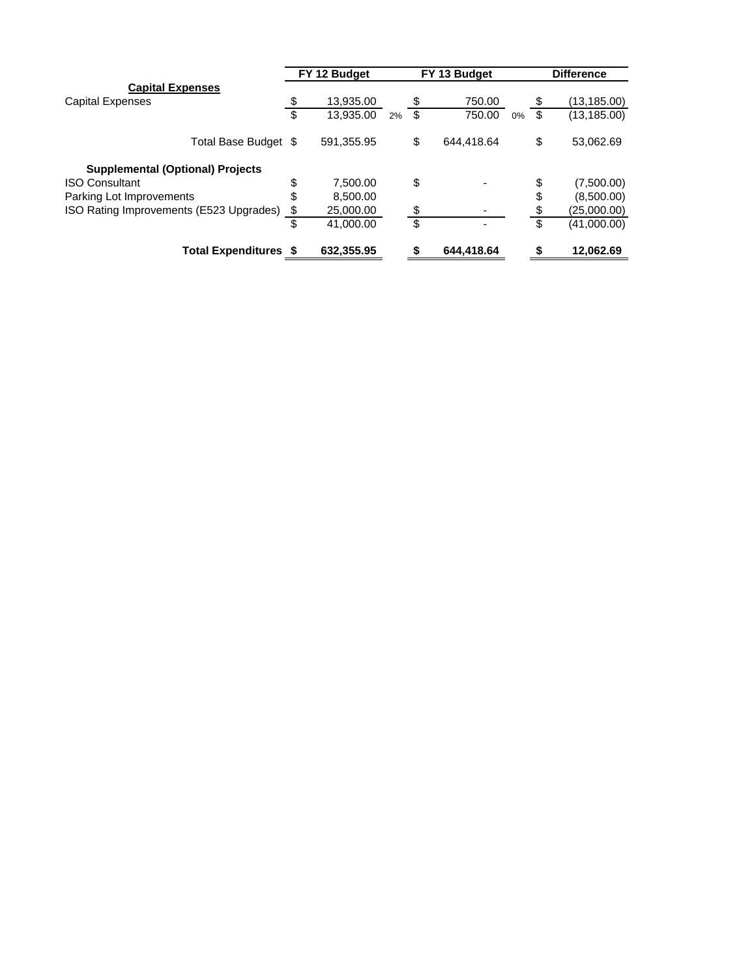|                                         | FY 12 Budget             |            | FY 13 Budget |                  |       | <b>Difference</b> |              |
|-----------------------------------------|--------------------------|------------|--------------|------------------|-------|-------------------|--------------|
| <b>Capital Expenses</b>                 |                          |            |              |                  |       |                   |              |
| <b>Capital Expenses</b>                 | $\overline{\mathcal{C}}$ | 13,935.00  |              | \$<br>750.00     |       | - \$              | (13,185.00)  |
|                                         | \$                       | 13,935.00  | 2%           | \$<br>750.00     | $0\%$ |                   | (13, 185.00) |
| Total Base Budget \$                    |                          | 591,355.95 |              | \$<br>644.418.64 |       | \$                | 53,062.69    |
| <b>Supplemental (Optional) Projects</b> |                          |            |              |                  |       |                   |              |
| <b>ISO Consultant</b>                   | \$                       | 7.500.00   |              | \$               |       | \$                | (7,500.00)   |
| Parking Lot Improvements                | \$                       | 8,500.00   |              |                  |       | \$                | (8,500.00)   |
| ISO Rating Improvements (E523 Upgrades) | \$                       | 25,000.00  |              | \$               |       |                   | (25,000.00)  |
|                                         | \$                       | 41,000.00  |              | \$               |       | \$.               | (41,000.00)  |
| <b>Total Expenditures \$</b>            |                          | 632,355.95 |              | \$<br>644,418.64 |       |                   | 12,062.69    |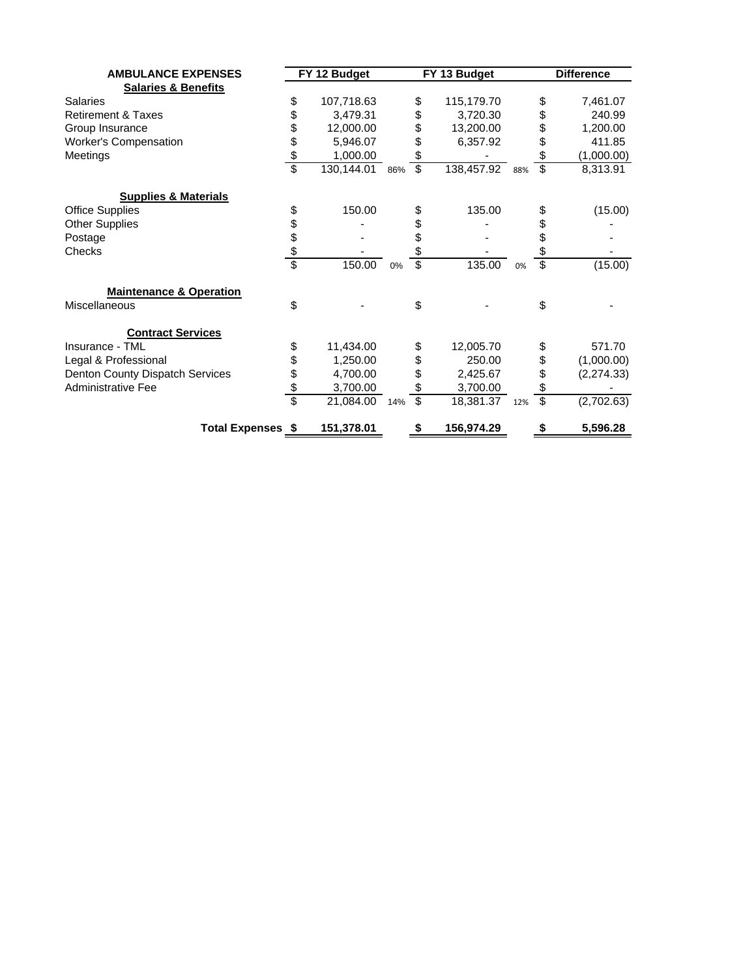| <b>AMBULANCE EXPENSES</b>          | FY 12 Budget  |            |     |          | FY 13 Budget   |     | <b>Difference</b>       |            |
|------------------------------------|---------------|------------|-----|----------|----------------|-----|-------------------------|------------|
| <b>Salaries &amp; Benefits</b>     |               |            |     |          |                |     |                         |            |
| <b>Salaries</b>                    | \$            | 107,718.63 |     | \$       | 115,179.70     |     | \$                      | 7,461.07   |
| <b>Retirement &amp; Taxes</b>      | \$            | 3,479.31   |     | \$       | 3,720.30       |     | \$                      | 240.99     |
| Group Insurance                    |               | 12,000.00  |     | \$       | 13,200.00      |     | \$                      | 1,200.00   |
| <b>Worker's Compensation</b>       |               | 5,946.07   |     | \$       | 6,357.92       |     | \$                      | 411.85     |
| Meetings                           | $\frac{6}{3}$ | 1,000.00   |     | \$       |                |     | \$                      | (1,000.00) |
|                                    |               | 130,144.01 | 86% | \$       | 138,457.92 88% |     | $\overline{\mathbb{S}}$ | 8,313.91   |
| <b>Supplies &amp; Materials</b>    |               |            |     |          |                |     |                         |            |
| <b>Office Supplies</b>             | \$            | 150.00     |     | \$       | 135.00         |     | \$                      | (15.00)    |
| <b>Other Supplies</b>              |               |            |     |          |                |     | \$                      |            |
| Postage                            |               |            |     | \$<br>\$ |                |     | \$                      |            |
| Checks                             | \$\$\$        |            |     | \$       |                |     | \$                      |            |
|                                    |               | 150.00     | 0%  | \$       | 135.00         | 0%  | $\overline{\mathbb{S}}$ | (15.00)    |
| <b>Maintenance &amp; Operation</b> |               |            |     |          |                |     |                         |            |
| Miscellaneous                      | \$            |            |     | \$       |                |     | \$                      |            |
| <b>Contract Services</b>           |               |            |     |          |                |     |                         |            |
| Insurance - TML                    | \$            | 11,434.00  |     | \$       | 12,005.70      |     |                         | 571.70     |
| Legal & Professional               |               | 1,250.00   |     | \$       | 250.00         |     | \$                      | (1,000.00) |
| Denton County Dispatch Services    |               | 4,700.00   |     | \$       | 2,425.67       |     | \$                      | (2,274.33) |
| <b>Administrative Fee</b>          | \$\$\$        | 3,700.00   |     | \$       | 3,700.00       |     | \$                      |            |
|                                    |               | 21,084.00  | 14% | \$       | 18,381.37      | 12% | \$                      | (2,702.63) |
| <b>Total Expenses \$</b>           |               | 151,378.01 |     | \$       | 156,974.29     |     | \$                      | 5,596.28   |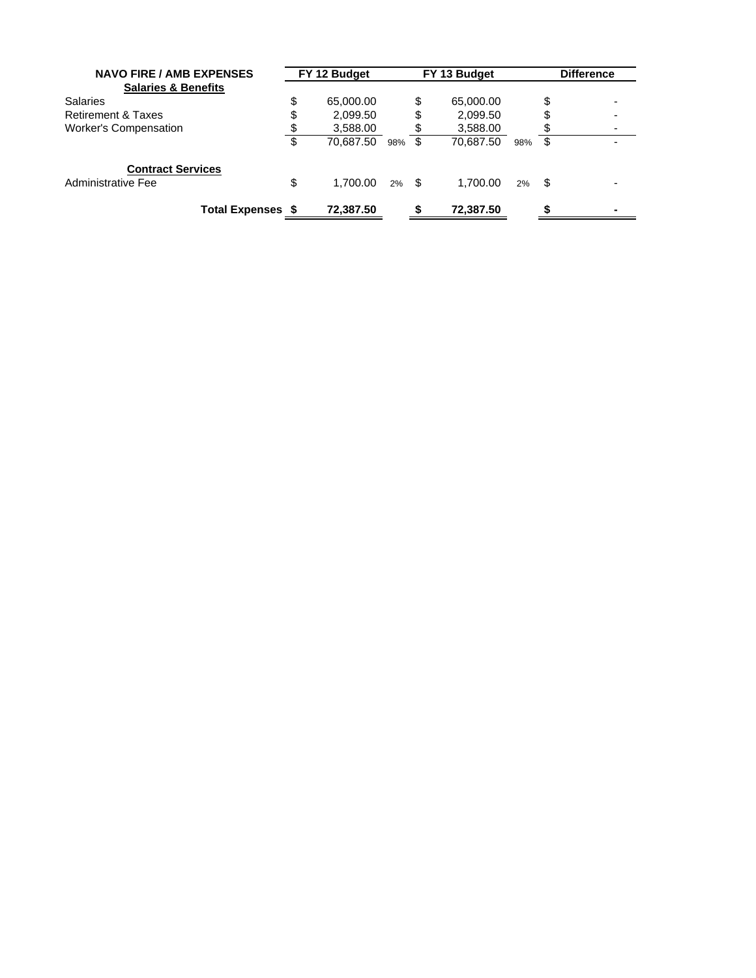| <b>NAVO FIRE / AMB EXPENSES</b> |    | FY 12 Budget |          |     | FY 13 Budget |     |      | <b>Difference</b> |
|---------------------------------|----|--------------|----------|-----|--------------|-----|------|-------------------|
| <b>Salaries &amp; Benefits</b>  |    |              |          |     |              |     |      |                   |
| <b>Salaries</b>                 | \$ | 65,000.00    |          | \$  | 65,000.00    |     | \$   |                   |
| <b>Retirement &amp; Taxes</b>   | \$ | 2,099.50     |          | \$  | 2,099.50     |     |      |                   |
| <b>Worker's Compensation</b>    | \$ | 3,588.00     |          | \$  | 3,588.00     |     |      |                   |
|                                 | \$ | 70.687.50    | 98%      | -\$ | 70.687.50    | 98% | \$   |                   |
| <b>Contract Services</b>        |    |              |          |     |              |     |      |                   |
| Administrative Fee              | \$ | 1.700.00     | $2\%$ \$ |     | 1.700.00     | 2%  | - \$ |                   |
| <b>Total Expenses \$</b>        |    | 72.387.50    |          |     | 72.387.50    |     |      |                   |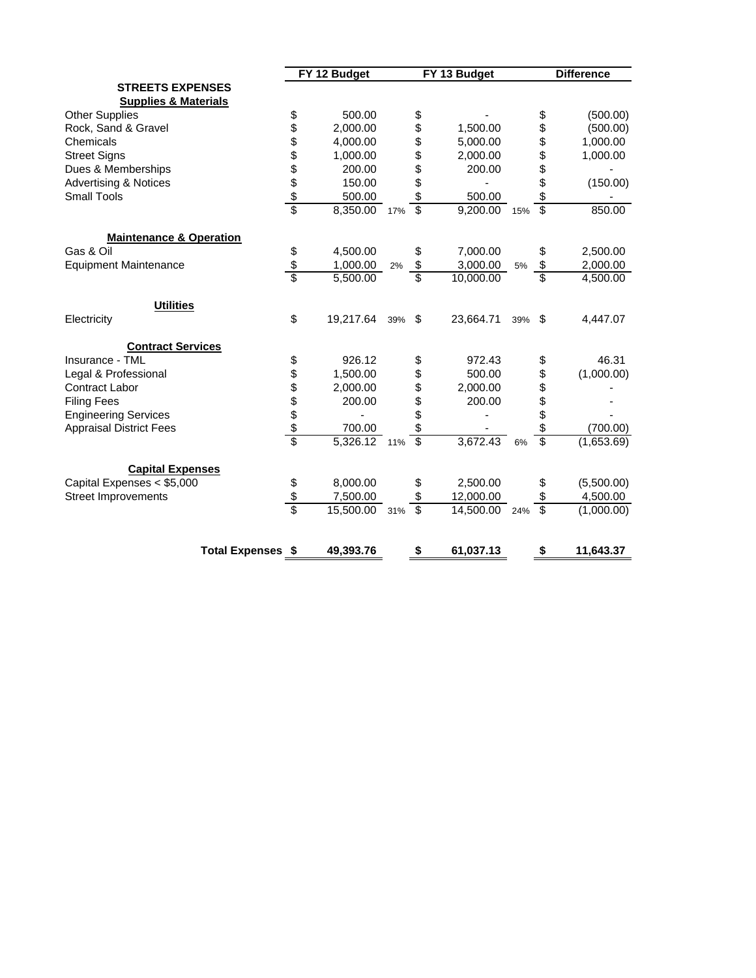| <b>STREETS EXPENSES</b><br><b>Supplies &amp; Materials</b><br><b>Other Supplies</b><br>\$<br>500.00<br>\$<br>\$<br>888888<br>\$<br>\$<br>Rock, Sand & Gravel<br>2,000.00<br>1,500.00<br>\$<br>\$<br>Chemicals<br>4,000.00<br>5,000.00<br>\$<br>\$<br><b>Street Signs</b><br>1,000.00<br>2,000.00<br>\$<br>\$<br>Dues & Memberships<br>200.00<br>200.00<br>\$<br>\$<br><b>Advertising &amp; Notices</b><br>150.00<br>\$<br>\$<br><b>Small Tools</b><br>500.00<br>500.00<br>$\overline{\$}$<br>$\overline{\mathbb{S}}$<br>8,350.00 17%<br>9,200.00 15%<br><b>Maintenance &amp; Operation</b><br>Gas & Oil<br>\$<br>4,500.00<br>7,000.00<br>\$<br>\$<br>$\frac{3}{3}$<br>\$<br>\$<br>3,000.00<br>1,000.00<br><b>Equipment Maintenance</b><br>2%<br>5%<br>\$<br>\$<br>5,500.00<br>10,000.00<br><b>Utilities</b><br>\$<br>19,217.64<br>Electricity<br>23,664.71<br>\$<br>39%<br>\$<br>39%<br><b>Contract Services</b><br>\$<br>926.12<br>972.43<br>Insurance - TML<br>\$<br>\$<br>\$\$\$\$\$\$<br>\$<br>Legal & Professional<br>1,500.00<br>\$<br>500.00<br>\$<br>\$<br>Contract Labor<br>2,000.00<br>2,000.00<br>\$<br>\$<br>\$<br><b>Filing Fees</b><br>200.00<br>200.00<br>\$<br><b>Engineering Services</b><br>\$<br>\$<br><b>Appraisal District Fees</b><br>700.00<br>$\overline{\mathcal{S}}$<br>$\overline{\mathcal{S}}$<br>$5,326.12$ 11%<br>3,672.43<br>6%<br><b>Capital Expenses</b><br>Capital Expenses < \$5,000<br>\$<br>8,000.00<br>2,500.00<br>\$<br>\$<br>\$<br><b>Street Improvements</b><br>7,500.00<br>\$<br>12,000.00<br>\$<br>Ŝ<br>15,500.00 31%<br>\$<br>14,500.00 24%<br>\$ | FY 12 Budget |  |  | FY 13 Budget | <b>Difference</b> |            |
|-----------------------------------------------------------------------------------------------------------------------------------------------------------------------------------------------------------------------------------------------------------------------------------------------------------------------------------------------------------------------------------------------------------------------------------------------------------------------------------------------------------------------------------------------------------------------------------------------------------------------------------------------------------------------------------------------------------------------------------------------------------------------------------------------------------------------------------------------------------------------------------------------------------------------------------------------------------------------------------------------------------------------------------------------------------------------------------------------------------------------------------------------------------------------------------------------------------------------------------------------------------------------------------------------------------------------------------------------------------------------------------------------------------------------------------------------------------------------------------------------------------------------------------------------------------------------------------------------|--------------|--|--|--------------|-------------------|------------|
|                                                                                                                                                                                                                                                                                                                                                                                                                                                                                                                                                                                                                                                                                                                                                                                                                                                                                                                                                                                                                                                                                                                                                                                                                                                                                                                                                                                                                                                                                                                                                                                               |              |  |  |              |                   |            |
|                                                                                                                                                                                                                                                                                                                                                                                                                                                                                                                                                                                                                                                                                                                                                                                                                                                                                                                                                                                                                                                                                                                                                                                                                                                                                                                                                                                                                                                                                                                                                                                               |              |  |  |              |                   |            |
|                                                                                                                                                                                                                                                                                                                                                                                                                                                                                                                                                                                                                                                                                                                                                                                                                                                                                                                                                                                                                                                                                                                                                                                                                                                                                                                                                                                                                                                                                                                                                                                               |              |  |  |              |                   | (500.00)   |
|                                                                                                                                                                                                                                                                                                                                                                                                                                                                                                                                                                                                                                                                                                                                                                                                                                                                                                                                                                                                                                                                                                                                                                                                                                                                                                                                                                                                                                                                                                                                                                                               |              |  |  |              |                   | (500.00)   |
|                                                                                                                                                                                                                                                                                                                                                                                                                                                                                                                                                                                                                                                                                                                                                                                                                                                                                                                                                                                                                                                                                                                                                                                                                                                                                                                                                                                                                                                                                                                                                                                               |              |  |  |              |                   | 1,000.00   |
|                                                                                                                                                                                                                                                                                                                                                                                                                                                                                                                                                                                                                                                                                                                                                                                                                                                                                                                                                                                                                                                                                                                                                                                                                                                                                                                                                                                                                                                                                                                                                                                               |              |  |  |              |                   | 1,000.00   |
|                                                                                                                                                                                                                                                                                                                                                                                                                                                                                                                                                                                                                                                                                                                                                                                                                                                                                                                                                                                                                                                                                                                                                                                                                                                                                                                                                                                                                                                                                                                                                                                               |              |  |  |              |                   |            |
|                                                                                                                                                                                                                                                                                                                                                                                                                                                                                                                                                                                                                                                                                                                                                                                                                                                                                                                                                                                                                                                                                                                                                                                                                                                                                                                                                                                                                                                                                                                                                                                               |              |  |  |              |                   | (150.00)   |
|                                                                                                                                                                                                                                                                                                                                                                                                                                                                                                                                                                                                                                                                                                                                                                                                                                                                                                                                                                                                                                                                                                                                                                                                                                                                                                                                                                                                                                                                                                                                                                                               |              |  |  |              |                   |            |
|                                                                                                                                                                                                                                                                                                                                                                                                                                                                                                                                                                                                                                                                                                                                                                                                                                                                                                                                                                                                                                                                                                                                                                                                                                                                                                                                                                                                                                                                                                                                                                                               |              |  |  |              |                   | 850.00     |
|                                                                                                                                                                                                                                                                                                                                                                                                                                                                                                                                                                                                                                                                                                                                                                                                                                                                                                                                                                                                                                                                                                                                                                                                                                                                                                                                                                                                                                                                                                                                                                                               |              |  |  |              |                   |            |
|                                                                                                                                                                                                                                                                                                                                                                                                                                                                                                                                                                                                                                                                                                                                                                                                                                                                                                                                                                                                                                                                                                                                                                                                                                                                                                                                                                                                                                                                                                                                                                                               |              |  |  |              |                   | 2,500.00   |
|                                                                                                                                                                                                                                                                                                                                                                                                                                                                                                                                                                                                                                                                                                                                                                                                                                                                                                                                                                                                                                                                                                                                                                                                                                                                                                                                                                                                                                                                                                                                                                                               |              |  |  |              |                   | 2,000.00   |
|                                                                                                                                                                                                                                                                                                                                                                                                                                                                                                                                                                                                                                                                                                                                                                                                                                                                                                                                                                                                                                                                                                                                                                                                                                                                                                                                                                                                                                                                                                                                                                                               |              |  |  |              |                   | 4,500.00   |
|                                                                                                                                                                                                                                                                                                                                                                                                                                                                                                                                                                                                                                                                                                                                                                                                                                                                                                                                                                                                                                                                                                                                                                                                                                                                                                                                                                                                                                                                                                                                                                                               |              |  |  |              |                   |            |
|                                                                                                                                                                                                                                                                                                                                                                                                                                                                                                                                                                                                                                                                                                                                                                                                                                                                                                                                                                                                                                                                                                                                                                                                                                                                                                                                                                                                                                                                                                                                                                                               |              |  |  |              |                   | 4,447.07   |
|                                                                                                                                                                                                                                                                                                                                                                                                                                                                                                                                                                                                                                                                                                                                                                                                                                                                                                                                                                                                                                                                                                                                                                                                                                                                                                                                                                                                                                                                                                                                                                                               |              |  |  |              |                   |            |
|                                                                                                                                                                                                                                                                                                                                                                                                                                                                                                                                                                                                                                                                                                                                                                                                                                                                                                                                                                                                                                                                                                                                                                                                                                                                                                                                                                                                                                                                                                                                                                                               |              |  |  |              |                   | 46.31      |
|                                                                                                                                                                                                                                                                                                                                                                                                                                                                                                                                                                                                                                                                                                                                                                                                                                                                                                                                                                                                                                                                                                                                                                                                                                                                                                                                                                                                                                                                                                                                                                                               |              |  |  |              |                   | (1,000.00) |
|                                                                                                                                                                                                                                                                                                                                                                                                                                                                                                                                                                                                                                                                                                                                                                                                                                                                                                                                                                                                                                                                                                                                                                                                                                                                                                                                                                                                                                                                                                                                                                                               |              |  |  |              |                   |            |
|                                                                                                                                                                                                                                                                                                                                                                                                                                                                                                                                                                                                                                                                                                                                                                                                                                                                                                                                                                                                                                                                                                                                                                                                                                                                                                                                                                                                                                                                                                                                                                                               |              |  |  |              |                   |            |
|                                                                                                                                                                                                                                                                                                                                                                                                                                                                                                                                                                                                                                                                                                                                                                                                                                                                                                                                                                                                                                                                                                                                                                                                                                                                                                                                                                                                                                                                                                                                                                                               |              |  |  |              |                   |            |
|                                                                                                                                                                                                                                                                                                                                                                                                                                                                                                                                                                                                                                                                                                                                                                                                                                                                                                                                                                                                                                                                                                                                                                                                                                                                                                                                                                                                                                                                                                                                                                                               |              |  |  |              |                   | (700.00)   |
|                                                                                                                                                                                                                                                                                                                                                                                                                                                                                                                                                                                                                                                                                                                                                                                                                                                                                                                                                                                                                                                                                                                                                                                                                                                                                                                                                                                                                                                                                                                                                                                               |              |  |  |              |                   | (1,653.69) |
|                                                                                                                                                                                                                                                                                                                                                                                                                                                                                                                                                                                                                                                                                                                                                                                                                                                                                                                                                                                                                                                                                                                                                                                                                                                                                                                                                                                                                                                                                                                                                                                               |              |  |  |              |                   |            |
|                                                                                                                                                                                                                                                                                                                                                                                                                                                                                                                                                                                                                                                                                                                                                                                                                                                                                                                                                                                                                                                                                                                                                                                                                                                                                                                                                                                                                                                                                                                                                                                               |              |  |  |              |                   | (5,500.00) |
|                                                                                                                                                                                                                                                                                                                                                                                                                                                                                                                                                                                                                                                                                                                                                                                                                                                                                                                                                                                                                                                                                                                                                                                                                                                                                                                                                                                                                                                                                                                                                                                               |              |  |  |              |                   | 4,500.00   |
|                                                                                                                                                                                                                                                                                                                                                                                                                                                                                                                                                                                                                                                                                                                                                                                                                                                                                                                                                                                                                                                                                                                                                                                                                                                                                                                                                                                                                                                                                                                                                                                               |              |  |  |              |                   | (1,000.00) |
| 61,037.13<br><b>Total Expenses \$</b><br>49,393.76<br>\$<br>\$                                                                                                                                                                                                                                                                                                                                                                                                                                                                                                                                                                                                                                                                                                                                                                                                                                                                                                                                                                                                                                                                                                                                                                                                                                                                                                                                                                                                                                                                                                                                |              |  |  |              |                   | 11,643.37  |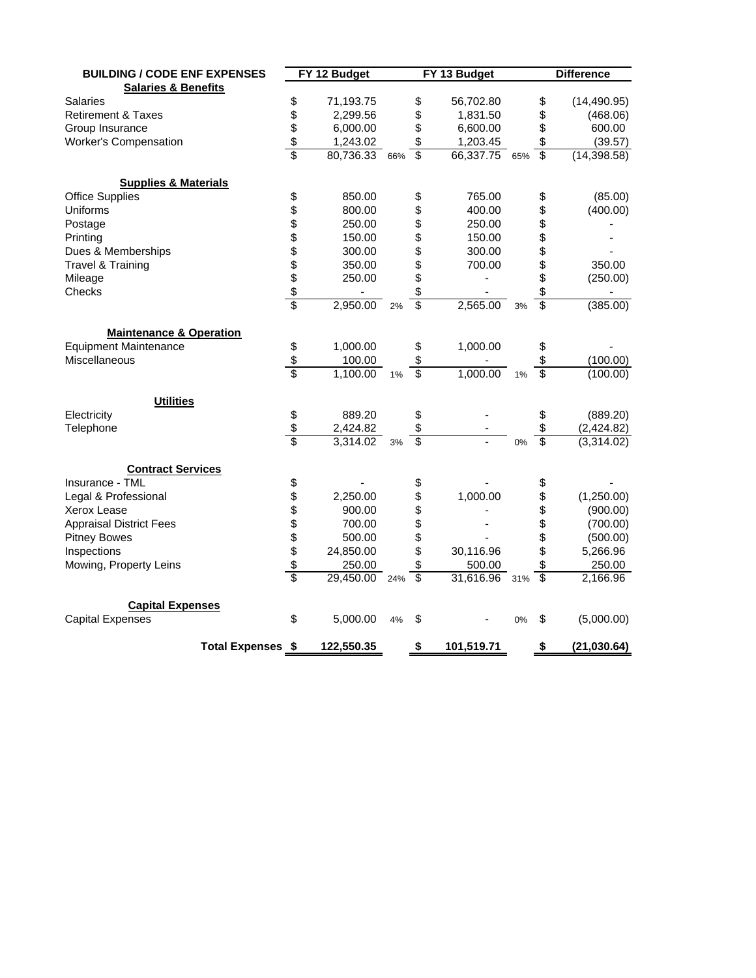| <b>BUILDING / CODE ENF EXPENSES</b> |                          |                 | FY 12 Budget  |    |                          | FY 13 Budget  |    | <b>Difference</b>        |              |  |
|-------------------------------------|--------------------------|-----------------|---------------|----|--------------------------|---------------|----|--------------------------|--------------|--|
| <b>Salaries &amp; Benefits</b>      |                          |                 |               |    |                          |               |    |                          |              |  |
| Salaries                            |                          | \$              | 71,193.75     |    | \$                       | 56,702.80     |    | \$                       | (14, 490.95) |  |
| <b>Retirement &amp; Taxes</b>       |                          |                 | 2,299.56      |    | \$                       | 1,831.50      |    | \$                       | (468.06)     |  |
| Group Insurance                     |                          |                 | 6,000.00      |    | \$                       | 6,600.00      |    | \$                       | 600.00       |  |
| <b>Worker's Compensation</b>        |                          | \$\$\$          | 1,243.02      |    | \$                       | 1,203.45      |    | \$                       | (39.57)      |  |
|                                     |                          |                 | 80,736.33 66% |    | \$                       | 66,337.75 65% |    | $\overline{\mathcal{S}}$ | (14, 398.58) |  |
| <b>Supplies &amp; Materials</b>     |                          |                 |               |    |                          |               |    |                          |              |  |
| <b>Office Supplies</b>              |                          |                 | 850.00        |    | \$                       | 765.00        |    | \$                       | (85.00)      |  |
| Uniforms                            |                          |                 | 800.00        |    | \$                       | 400.00        |    | \$                       | (400.00)     |  |
| Postage                             |                          |                 | 250.00        |    | \$                       | 250.00        |    | \$                       |              |  |
| Printing                            |                          |                 | 150.00        |    | \$                       | 150.00        |    | \$                       |              |  |
| Dues & Memberships                  |                          |                 | 300.00        |    | \$                       | 300.00        |    | \$                       |              |  |
| Travel & Training                   |                          |                 | 350.00        |    | \$                       | 700.00        |    | \$                       | 350.00       |  |
| Mileage                             |                          |                 | 250.00        |    | \$                       |               |    | \$                       | (250.00)     |  |
| Checks                              |                          |                 | ä,            |    | \$                       |               |    | \$                       |              |  |
|                                     |                          |                 | 2,950.00      | 2% | $\overline{\mathbb{S}}$  | 2,565.00      | 3% | \$                       | (385.00)     |  |
| <b>Maintenance &amp; Operation</b>  |                          |                 |               |    |                          |               |    |                          |              |  |
| <b>Equipment Maintenance</b>        |                          | \$              | 1,000.00      |    | \$                       | 1,000.00      |    | \$                       |              |  |
| Miscellaneous                       |                          | \$              | 100.00        |    | \$                       |               |    | \$                       | (100.00)     |  |
|                                     |                          | $\overline{\$}$ | 1,100.00      | 1% | $\overline{\mathcal{S}}$ | 1,000.00      | 1% | \$                       | (100.00)     |  |
| <b>Utilities</b>                    |                          |                 |               |    |                          |               |    |                          |              |  |
| Electricity                         |                          | \$              | 889.20        |    | \$                       |               |    | \$                       | (889.20)     |  |
| Telephone                           |                          | $\frac{1}{2}$   | 2,424.82      |    | \$                       |               |    | \$                       | (2,424.82)   |  |
|                                     |                          | \$              | 3,314.02      | 3% | \$                       |               | 0% | $\overline{\$}$          | (3,314.02)   |  |
| <b>Contract Services</b>            |                          |                 |               |    |                          |               |    |                          |              |  |
| Insurance - TML                     |                          | \$              |               |    | \$                       |               |    | \$                       |              |  |
| Legal & Professional                |                          | \$\$\$\$\$\$    | 2,250.00      |    | \$                       | 1,000.00      |    | \$                       | (1,250.00)   |  |
| Xerox Lease                         |                          |                 | 900.00        |    | \$                       |               |    | \$                       | (900.00)     |  |
| <b>Appraisal District Fees</b>      |                          |                 | 700.00        |    | \$                       |               |    | \$                       | (700.00)     |  |
| <b>Pitney Bowes</b>                 |                          |                 | 500.00        |    | \$                       |               |    | \$                       | (500.00)     |  |
| Inspections                         |                          |                 | 24,850.00     |    | \$                       | 30,116.96     |    | \$                       | 5,266.96     |  |
| Mowing, Property Leins              |                          |                 | 250.00        |    | \$                       | 500.00        |    | \$                       | 250.00       |  |
|                                     |                          | \$              | 29,450.00 24% |    | $\overline{\mathcal{S}}$ | 31,616.96 31% |    | $\overline{\$}$          | 2,166.96     |  |
| <b>Capital Expenses</b>             |                          |                 |               |    |                          |               |    |                          |              |  |
| <b>Capital Expenses</b>             |                          | \$              | 5,000.00      | 4% | \$                       |               | 0% | \$                       | (5,000.00)   |  |
|                                     | <b>Total Expenses \$</b> |                 | 122,550.35    |    | \$                       | 101,519.71    |    | \$                       | (21, 030.64) |  |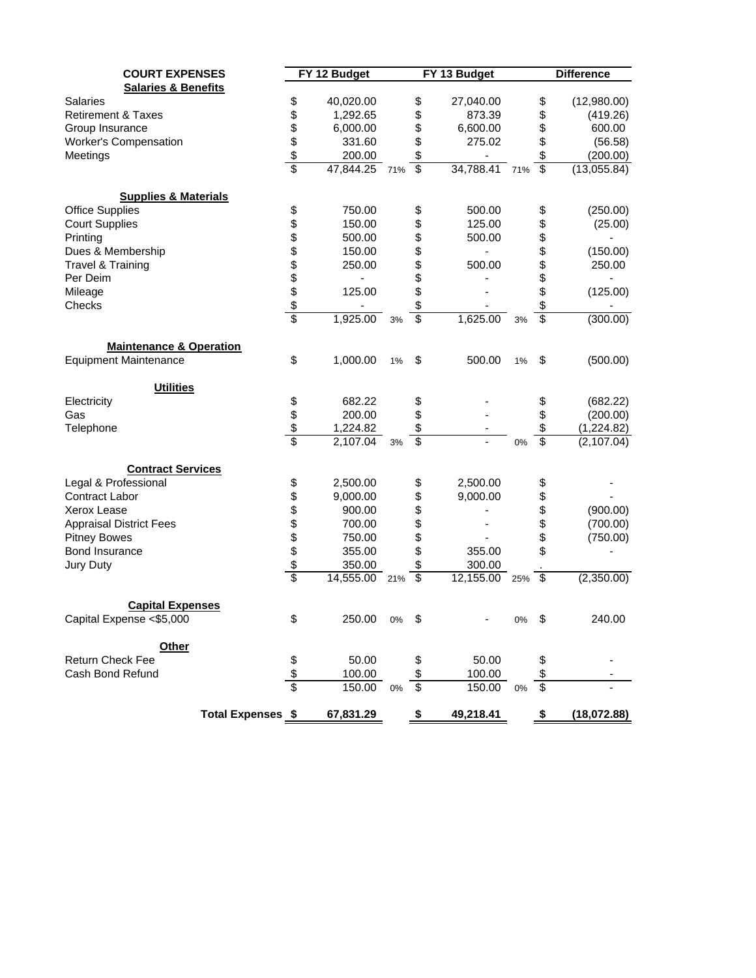| <b>COURT EXPENSES</b>              |                          |                 | FY 12 Budget |     |                 | FY 13 Budget  |     |                          | <b>Difference</b> |
|------------------------------------|--------------------------|-----------------|--------------|-----|-----------------|---------------|-----|--------------------------|-------------------|
| <b>Salaries &amp; Benefits</b>     |                          |                 |              |     |                 |               |     |                          |                   |
| <b>Salaries</b>                    |                          | \$              | 40,020.00    |     | \$              | 27,040.00     |     | \$                       | (12,980.00)       |
| <b>Retirement &amp; Taxes</b>      |                          | \$              | 1,292.65     |     | \$              | 873.39        |     | \$                       | (419.26)          |
| Group Insurance                    |                          |                 | 6,000.00     |     | \$              | 6,600.00      |     | \$                       | 600.00            |
| Worker's Compensation              |                          |                 | 331.60       |     | \$              | 275.02        |     | \$                       | (56.58)           |
| Meetings                           |                          |                 | 200.00       |     | \$              |               |     | \$                       | (200.00)          |
|                                    |                          | \$\$\$          | 47,844.25    | 71% | $\overline{\$}$ | 34,788.41 71% |     | $\overline{\$}$          | (13,055.84)       |
| <b>Supplies &amp; Materials</b>    |                          |                 |              |     |                 |               |     |                          |                   |
| <b>Office Supplies</b>             |                          | \$              | 750.00       |     | \$              | 500.00        |     | \$                       | (250.00)          |
| <b>Court Supplies</b>              |                          |                 | 150.00       |     | \$              | 125.00        |     | \$                       | (25.00)           |
| Printing                           |                          |                 | 500.00       |     | \$              | 500.00        |     | \$                       |                   |
| Dues & Membership                  |                          |                 | 150.00       |     | \$              |               |     | \$                       | (150.00)          |
| Travel & Training                  |                          |                 | 250.00       |     |                 | 500.00        |     | \$                       | 250.00            |
| Per Deim                           |                          |                 | ۰            |     |                 |               |     |                          |                   |
| Mileage                            |                          |                 | 125.00       |     | \$\$            |               |     | \$                       | (125.00)          |
| Checks                             |                          |                 |              |     | \$              |               |     | \$                       |                   |
|                                    |                          |                 | 1,925.00     | 3%  | \$              | 1,625.00      | 3%  | \$                       | (300.00)          |
| <b>Maintenance &amp; Operation</b> |                          |                 |              |     |                 |               |     |                          |                   |
| <b>Equipment Maintenance</b>       |                          | \$              | 1,000.00     | 1%  | \$              | 500.00        | 1%  | \$                       | (500.00)          |
| <b>Utilities</b>                   |                          |                 |              |     |                 |               |     |                          |                   |
| Electricity                        |                          |                 | 682.22       |     | \$              |               |     | \$                       | (682.22)          |
| Gas                                |                          | \$<br>\$        | 200.00       |     | \$              |               |     | \$                       | (200.00)          |
| Telephone                          |                          |                 | 1,224.82     |     | \$              |               |     | \$                       | (1,224.82)        |
|                                    |                          | $\overline{\$}$ | 2,107.04     | 3%  | \$              |               | 0%  | \$                       | (2,107.04)        |
| <b>Contract Services</b>           |                          |                 |              |     |                 |               |     |                          |                   |
| Legal & Professional               |                          | \$              | 2,500.00     |     | \$              | 2,500.00      |     | \$                       |                   |
| Contract Labor                     |                          | 8000000         | 9,000.00     |     | \$              | 9,000.00      |     | \$                       |                   |
| Xerox Lease                        |                          |                 | 900.00       |     | \$              |               |     | \$                       | (900.00)          |
| <b>Appraisal District Fees</b>     |                          |                 | 700.00       |     | \$              |               |     | \$                       | (700.00)          |
| <b>Pitney Bowes</b>                |                          |                 | 750.00       |     | \$              |               |     | \$                       | (750.00)          |
| <b>Bond Insurance</b>              |                          |                 | 355.00       |     | \$              | 355.00        |     | \$                       |                   |
| Jury Duty                          |                          |                 | 350.00       |     | \$              | 300.00        |     |                          |                   |
|                                    |                          |                 | 14,555.00    | 21% | $\overline{\$}$ | 12,155.00     | 25% | $\overline{\mathcal{S}}$ | (2,350.00)        |
| <b>Capital Expenses</b>            |                          |                 |              |     |                 |               |     |                          |                   |
| Capital Expense <\$5,000           |                          | \$              | 250.00 0%    |     | \$              |               | 0%  | \$                       | 240.00            |
| Other                              |                          |                 |              |     |                 |               |     |                          |                   |
| Return Check Fee                   |                          | \$              | 50.00        |     |                 | 50.00         |     | \$                       |                   |
| Cash Bond Refund                   |                          | $\frac{1}{2}$   | 100.00       |     |                 | 100.00        |     |                          |                   |
|                                    |                          | $\overline{\$}$ | 150.00       | 0%  | \$              | 150.00        | 0%  | \$                       |                   |
|                                    | <b>Total Expenses \$</b> |                 | 67,831.29    |     | \$              | 49,218.41     |     | \$                       | (18,072.88)       |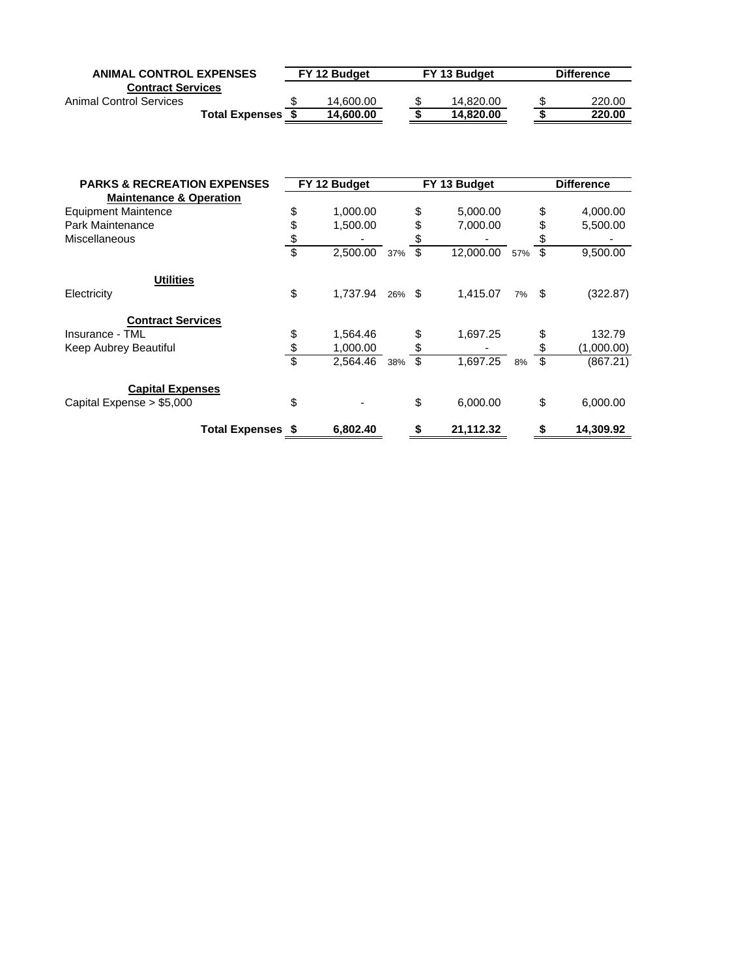| <b>ANIMAL CONTROL EXPENSES</b> |                       | FY 13 Budget<br>FY 12 Budget |  |  |           | <b>Difference</b> |        |  |
|--------------------------------|-----------------------|------------------------------|--|--|-----------|-------------------|--------|--|
| <b>Contract Services</b>       |                       |                              |  |  |           |                   |        |  |
| Animal Control Services        |                       | \$<br>14.600.00              |  |  | 14.820.00 |                   | 220.00 |  |
|                                | <b>Total Expenses</b> | 14.600.00                    |  |  | 14.820.00 |                   | 220.00 |  |

| <b>PARKS &amp; RECREATION EXPENSES</b> |                          | FY 12 Budget |           | FY 13 Budget    |       | <b>Difference</b> |
|----------------------------------------|--------------------------|--------------|-----------|-----------------|-------|-------------------|
| <b>Maintenance &amp; Operation</b>     |                          |              |           |                 |       |                   |
| <b>Equipment Maintence</b>             | \$                       | 1,000.00     |           | \$<br>5,000.00  |       | \$<br>4,000.00    |
| Park Maintenance                       | \$                       | 1,500.00     |           | \$<br>7,000.00  |       | 5,500.00          |
| Miscellaneous                          | \$                       |              |           |                 |       |                   |
|                                        | \$                       | 2,500.00     | 37%       | \$<br>12,000.00 | 57%   | \$<br>9,500.00    |
| <b>Utilities</b>                       |                          |              |           |                 |       |                   |
| Electricity                            | \$                       | 1,737.94     | $26\%$ \$ | 1,415.07        | 7% \$ | (322.87)          |
| <b>Contract Services</b>               |                          |              |           |                 |       |                   |
| Insurance - TML                        | \$                       | 1,564.46     |           | \$<br>1,697.25  |       | 132.79            |
| Keep Aubrey Beautiful                  | \$                       | 1,000.00     |           |                 |       | (1,000.00)        |
|                                        | $\overline{\mathbb{S}}$  | 2,564.46     | 38%       | \$<br>1,697.25  | 8%    | \$<br>(867.21)    |
| <b>Capital Expenses</b>                |                          |              |           |                 |       |                   |
| Capital Expense > \$5,000              | \$                       |              |           | \$<br>6,000.00  |       | \$<br>6,000.00    |
|                                        | <b>Total Expenses \$</b> | 6.802.40     |           | \$<br>21,112.32 |       | 14,309.92         |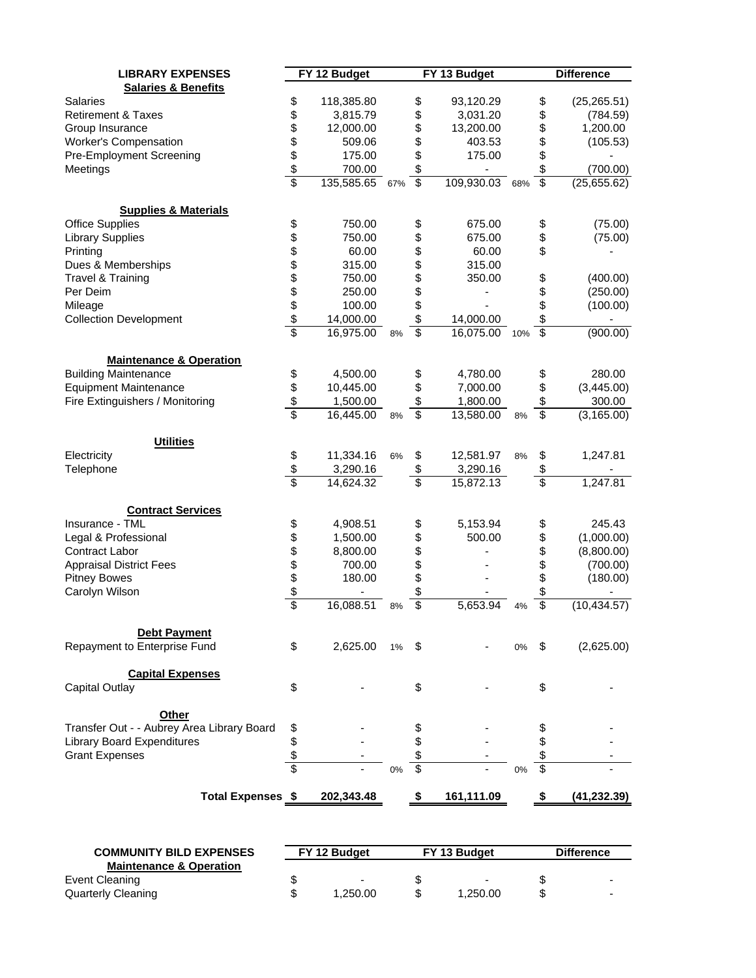| <b>LIBRARY EXPENSES</b>                    |                | FY 12 Budget |     |                 | FY 13 Budget   |    |                         | <b>Difference</b> |
|--------------------------------------------|----------------|--------------|-----|-----------------|----------------|----|-------------------------|-------------------|
| <b>Salaries &amp; Benefits</b>             |                |              |     |                 |                |    |                         |                   |
| <b>Salaries</b>                            | \$             | 118,385.80   |     | \$              | 93,120.29      |    | \$                      | (25, 265.51)      |
| <b>Retirement &amp; Taxes</b>              | \$             | 3,815.79     |     | \$              | 3,031.20       |    | \$                      | (784.59)          |
| Group Insurance                            |                | 12,000.00    |     | \$              | 13,200.00      |    | \$                      | 1,200.00          |
| <b>Worker's Compensation</b>               |                | 509.06       |     | \$              | 403.53         |    | \$                      | (105.53)          |
| Pre-Employment Screening                   |                | 175.00       |     | \$              | 175.00         |    | \$                      |                   |
| Meetings                                   |                | 700.00       |     | \$              |                |    | \$                      | (700.00)          |
|                                            | \$\$\$\$       | 135,585.65   | 67% | $\overline{\$}$ | 109,930.03 68% |    | $\overline{\$}$         | (25,655.62)       |
| <b>Supplies &amp; Materials</b>            |                |              |     |                 |                |    |                         |                   |
| <b>Office Supplies</b>                     | \$             | 750.00       |     | \$              | 675.00         |    | \$                      | (75.00)           |
| <b>Library Supplies</b>                    | \$             | 750.00       |     | \$              | 675.00         |    | \$                      | (75.00)           |
| Printing                                   | \$\$\$\$\$\$\$ | 60.00        |     | \$              | 60.00          |    | \$                      |                   |
| Dues & Memberships                         |                | 315.00       |     | \$              | 315.00         |    |                         |                   |
| Travel & Training                          |                | 750.00       |     | \$              | 350.00         |    | \$                      | (400.00)          |
| Per Deim                                   |                | 250.00       |     | \$              |                |    |                         | (250.00)          |
| Mileage                                    |                | 100.00       |     | \$              |                |    | \$                      | (100.00)          |
| <b>Collection Development</b>              |                | 14,000.00    |     | \$              | 14,000.00      |    | \$                      | ۰                 |
|                                            |                | 16,975.00    | 8%  | \$              | 16,075.00 10%  |    | $\overline{\mathbb{S}}$ | (900.00)          |
|                                            |                |              |     |                 |                |    |                         |                   |
| <b>Maintenance &amp; Operation</b>         |                |              |     |                 |                |    |                         |                   |
| <b>Building Maintenance</b>                | \$             | 4,500.00     |     | \$              | 4,780.00       |    | \$                      | 280.00            |
| <b>Equipment Maintenance</b>               | $\frac{6}{3}$  | 10,445.00    |     | \$              | 7,000.00       |    | \$                      | (3,445.00)        |
| Fire Extinguishers / Monitoring            |                | 1,500.00     |     | \$              | 1,800.00       |    | \$                      | 300.00            |
|                                            |                | 16,445.00    | 8%  | \$              | 13,580.00      | 8% | \$                      | (3, 165.00)       |
| <b>Utilities</b>                           |                |              |     |                 |                |    |                         |                   |
| Electricity                                | \$             | 11,334.16    | 6%  | \$              | 12,581.97      | 8% | \$                      | 1,247.81          |
| Telephone                                  | $\frac{1}{2}$  | 3,290.16     |     | \$              | 3,290.16       |    | \$                      |                   |
|                                            | \$             | 14,624.32    |     | \$              | 15,872.13      |    | \$                      | 1,247.81          |
| <b>Contract Services</b>                   |                |              |     |                 |                |    |                         |                   |
| Insurance - TML                            | \$             | 4,908.51     |     | \$              | 5,153.94       |    | \$                      | 245.43            |
| Legal & Professional                       |                | 1,500.00     |     | \$              | 500.00         |    | \$                      | (1,000.00)        |
| Contract Labor                             |                | 8,800.00     |     | \$              |                |    | \$                      | (8,800.00)        |
| <b>Appraisal District Fees</b>             |                | 700.00       |     | \$              |                |    | \$                      | (700.00)          |
| <b>Pitney Bowes</b>                        |                | 180.00       |     | \$              |                |    | \$                      | (180.00)          |
| Carolyn Wilson                             |                |              |     | \$              |                |    | \$                      |                   |
|                                            | \$\$\$\$\$\$   | 16,088.51    | 8%  | \$              | 5,653.94       | 4% | $\overline{\$}$         | (10, 434.57)      |
| <b>Debt Payment</b>                        |                |              |     |                 |                |    |                         |                   |
| Repayment to Enterprise Fund               | \$             | 2,625.00     | 1%  | S               |                | 0% | S.                      | (2,625.00)        |
|                                            |                |              |     |                 |                |    |                         |                   |
| <b>Capital Expenses</b>                    |                |              |     |                 |                |    |                         |                   |
| <b>Capital Outlay</b>                      | \$             |              |     | \$              |                |    | \$                      |                   |
| Other                                      |                |              |     |                 |                |    |                         |                   |
| Transfer Out - - Aubrey Area Library Board | \$             |              |     |                 |                |    |                         |                   |
| <b>Library Board Expenditures</b>          | \$             |              |     |                 |                |    |                         |                   |
| <b>Grant Expenses</b>                      | \$             |              |     |                 |                |    | \$                      |                   |
|                                            | \$             |              | 0%  | \$              |                | 0% | \$                      |                   |
| Total Expenses \$                          |                | 202,343.48   |     |                 | 161,111.09     |    |                         | (41, 232.39)      |
|                                            |                |              |     |                 |                |    |                         |                   |

| <b>COMMUNITY BILD EXPENSES</b>     |  | FY 12 Budget             | FY 13 Budget |   | <b>Difference</b>        |  |
|------------------------------------|--|--------------------------|--------------|---|--------------------------|--|
| <b>Maintenance &amp; Operation</b> |  |                          |              |   |                          |  |
| Event Cleaning                     |  | $\overline{\phantom{0}}$ |              |   | $\overline{\phantom{0}}$ |  |
| Quarterly Cleaning                 |  | 1.250.00                 | 1.250.00     | S | $\overline{\phantom{0}}$ |  |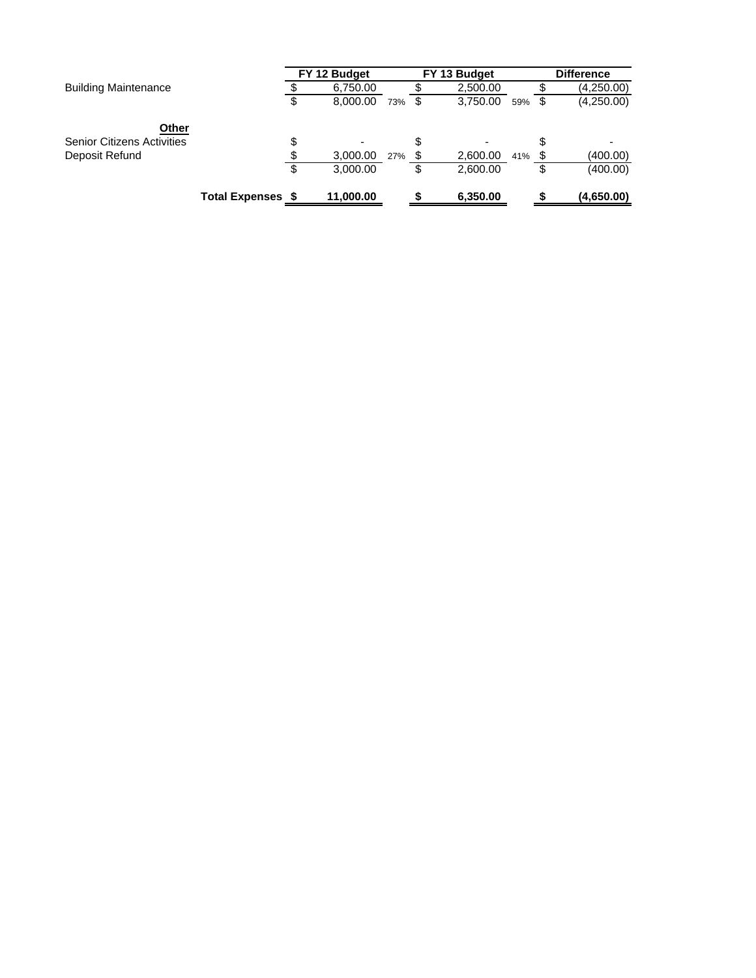|                                   |                          | FY 12 Budget   |     |      | FY 13 Budget |     | <b>Difference</b> |
|-----------------------------------|--------------------------|----------------|-----|------|--------------|-----|-------------------|
| <b>Building Maintenance</b>       |                          | 6,750.00       |     |      | 2,500.00     |     | (4,250.00)        |
|                                   |                          | \$<br>8,000.00 | 73% | - \$ | 3,750.00     | 59% | (4,250.00)        |
| Other                             |                          |                |     |      |              |     |                   |
| <b>Senior Citizens Activities</b> |                          | \$<br>-        |     | \$   |              |     |                   |
| Deposit Refund                    |                          | \$<br>3,000.00 | 27% |      | 2,600.00     | 41% | (400.00)          |
|                                   |                          | \$<br>3,000.00 |     |      | 2,600.00     |     | (400.00)          |
|                                   | <b>Total Expenses \$</b> | 11,000.00      |     |      | 6,350.00     |     | (4,650.00)        |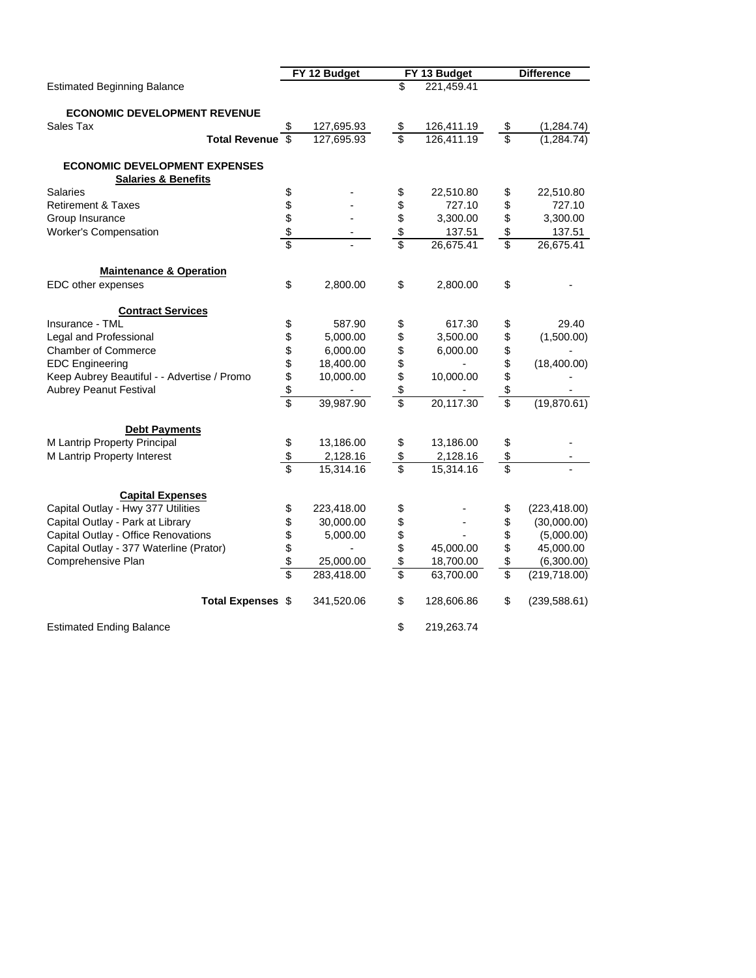|                                             |               | FY 12 Budget             | FY 13 Budget     | <b>Difference</b>   |
|---------------------------------------------|---------------|--------------------------|------------------|---------------------|
| <b>Estimated Beginning Balance</b>          |               |                          | \$<br>221,459.41 |                     |
| <b>ECONOMIC DEVELOPMENT REVENUE</b>         |               |                          |                  |                     |
| Sales Tax                                   | \$            | 127,695.93               | \$<br>126,411.19 | \$<br>(1,284.74)    |
| Total Revenue \$                            |               | 127,695.93               | \$<br>126,411.19 | \$<br>(1,284.74)    |
| <b>ECONOMIC DEVELOPMENT EXPENSES</b>        |               |                          |                  |                     |
| <b>Salaries &amp; Benefits</b>              |               |                          |                  |                     |
| <b>Salaries</b>                             | \$            |                          | \$<br>22,510.80  | \$<br>22,510.80     |
| <b>Retirement &amp; Taxes</b>               | \$            |                          | \$<br>727.10     | \$<br>727.10        |
| Group Insurance                             | \$            |                          | \$<br>3,300.00   | \$<br>3,300.00      |
| Worker's Compensation                       | $\frac{1}{2}$ |                          | \$<br>137.51     | \$<br>137.51        |
|                                             | Ŝ             |                          | \$<br>26,675.41  | \$<br>26,675.41     |
| <b>Maintenance &amp; Operation</b>          |               |                          |                  |                     |
| EDC other expenses                          | \$            | 2,800.00                 | \$<br>2,800.00   | \$                  |
| <b>Contract Services</b>                    |               |                          |                  |                     |
| Insurance - TML                             | \$            | 587.90                   | \$<br>617.30     | \$<br>29.40         |
| Legal and Professional                      | \$            | 5,000.00                 | \$<br>3,500.00   | \$<br>(1,500.00)    |
| <b>Chamber of Commerce</b>                  |               | 6,000.00                 | \$<br>6,000.00   | \$                  |
| <b>EDC</b> Engineering                      | \$            | 18,400.00                | \$               | \$<br>(18,400.00)   |
| Keep Aubrey Beautiful - - Advertise / Promo |               | 10,000.00                | \$<br>10,000.00  | \$                  |
| <b>Aubrey Peanut Festival</b>               | \$            | $\overline{\phantom{a}}$ | \$               | \$                  |
|                                             | \$            | 39,987.90                | \$<br>20,117.30  | \$<br>(19,870.61)   |
| <b>Debt Payments</b>                        |               |                          |                  |                     |
| M Lantrip Property Principal                | \$            | 13,186.00                | \$<br>13,186.00  | \$                  |
| M Lantrip Property Interest                 | \$            | 2,128.16                 | \$<br>2,128.16   | \$                  |
|                                             |               | 15,314.16                | \$<br>15,314.16  | \$                  |
| <b>Capital Expenses</b>                     |               |                          |                  |                     |
| Capital Outlay - Hwy 377 Utilities          | \$            | 223,418.00               | \$               | \$<br>(223, 418.00) |
| Capital Outlay - Park at Library            | \$            | 30,000.00                | \$               | \$<br>(30,000.00)   |
| Capital Outlay - Office Renovations         | \$            | 5,000.00                 | \$               | \$<br>(5,000.00)    |
| Capital Outlay - 377 Waterline (Prator)     | \$            |                          | \$<br>45,000.00  | \$<br>45,000.00     |
| Comprehensive Plan                          | \$            | 25,000.00                | \$<br>18,700.00  | \$<br>(6,300.00)    |
|                                             |               | 283,418.00               | \$<br>63,700.00  | \$<br>(219, 718.00) |
| <b>Total Expenses \$</b>                    |               | 341,520.06               | \$<br>128,606.86 | \$<br>(239, 588.61) |
| <b>Estimated Ending Balance</b>             |               |                          | \$<br>219,263.74 |                     |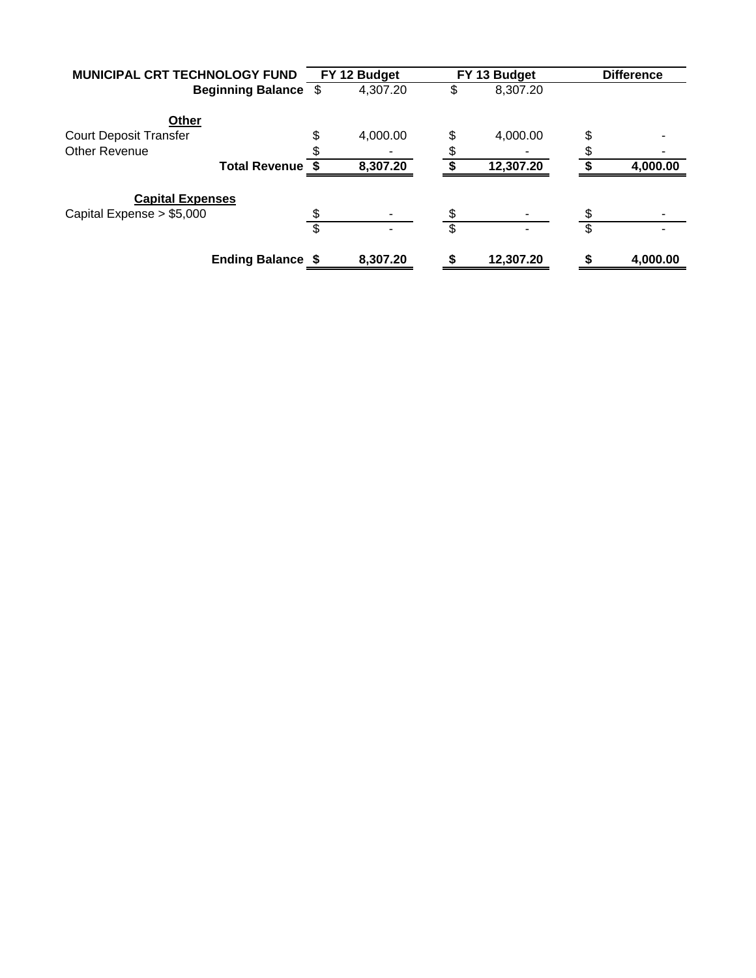| MUNICIPAL CRT TECHNOLOGY FUND | FY 12 Budget   | FY 13 Budget   | <b>Difference</b> |          |
|-------------------------------|----------------|----------------|-------------------|----------|
| <b>Beginning Balance \$</b>   | 4,307.20       | 8,307.20       |                   |          |
| Other                         |                |                |                   |          |
| <b>Court Deposit Transfer</b> | \$<br>4,000.00 | \$<br>4,000.00 | \$                |          |
| <b>Other Revenue</b>          |                |                |                   |          |
| <b>Total Revenue \$</b>       | 8,307.20       | 12,307.20      |                   | 4,000.00 |
| <b>Capital Expenses</b>       |                |                |                   |          |
| Capital Expense $> $5,000$    |                |                |                   |          |
|                               | \$             | \$             | \$                |          |
| <b>Ending Balance \$</b>      | 8,307.20       | 12,307.20      |                   | 4,000.00 |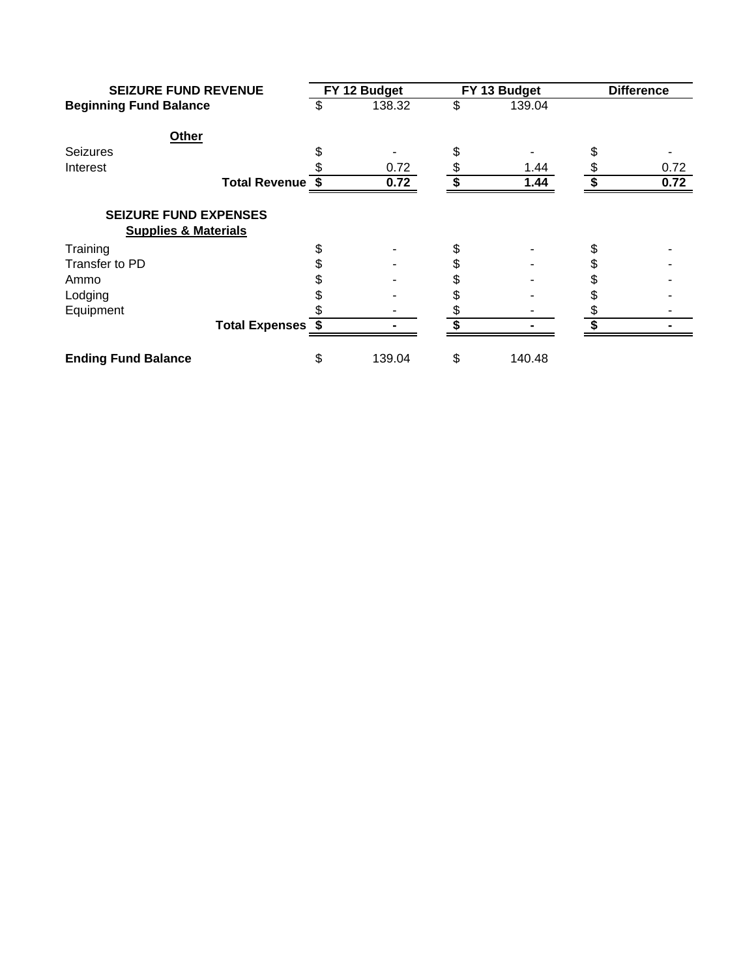| <b>SEIZURE FUND REVENUE</b><br><b>Beginning Fund Balance</b>    |                          |    | FY 12 Budget | FY 13 Budget | <b>Difference</b> |      |
|-----------------------------------------------------------------|--------------------------|----|--------------|--------------|-------------------|------|
|                                                                 |                          | S  | 138.32       | \$<br>139.04 |                   |      |
| Other                                                           |                          |    |              |              |                   |      |
| <b>Seizures</b>                                                 |                          |    |              |              |                   |      |
| Interest                                                        |                          |    | 0.72         | 1.44         |                   | 0.72 |
|                                                                 | Total Revenue \$         |    | 0.72         | 1.44         |                   | 0.72 |
| <b>SEIZURE FUND EXPENSES</b><br><b>Supplies &amp; Materials</b> |                          |    |              |              |                   |      |
|                                                                 |                          |    |              |              |                   |      |
| Training                                                        |                          | \$ |              | \$           |                   |      |
| Transfer to PD                                                  |                          |    |              | \$           |                   |      |
| Ammo                                                            |                          |    |              |              |                   |      |
| Lodging                                                         |                          |    |              |              |                   |      |
| Equipment                                                       |                          |    |              |              |                   |      |
|                                                                 | <b>Total Expenses \$</b> |    |              |              |                   |      |
| <b>Ending Fund Balance</b>                                      |                          | \$ | 139.04       | \$<br>140.48 |                   |      |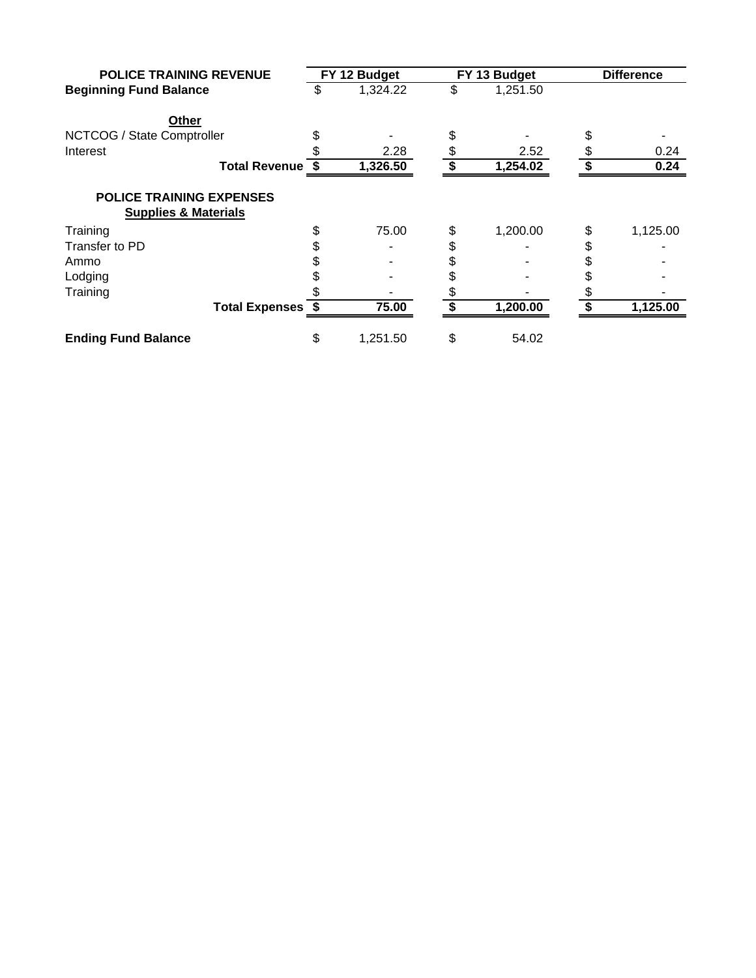| <b>POLICE TRAINING REVENUE</b>                                     |    | FY 12 Budget |          | FY 13 Budget | <b>Difference</b> |          |  |
|--------------------------------------------------------------------|----|--------------|----------|--------------|-------------------|----------|--|
| <b>Beginning Fund Balance</b>                                      | \$ | 1,324.22     | \$       | 1,251.50     |                   |          |  |
| Other                                                              |    |              |          |              |                   |          |  |
| NCTCOG / State Comptroller                                         |    |              |          |              |                   |          |  |
| Interest                                                           |    | 2.28         |          | 2.52         |                   | 0.24     |  |
| Total Revenue \$                                                   |    | 1,326.50     |          | 1,254.02     |                   | 0.24     |  |
| <b>POLICE TRAINING EXPENSES</b><br><b>Supplies &amp; Materials</b> |    |              |          |              |                   |          |  |
|                                                                    |    | 75.00        |          | 1,200.00     |                   | 1,125.00 |  |
| Training<br>Transfer to PD                                         |    |              | \$<br>\$ |              | \$                |          |  |
| Ammo                                                               |    |              | \$       |              |                   |          |  |
| Lodging                                                            |    |              |          |              |                   |          |  |
| Training                                                           |    |              |          |              |                   |          |  |
| <b>Total Expenses \$</b>                                           |    | 75.00        |          | 1,200.00     |                   | 1,125.00 |  |
| <b>Ending Fund Balance</b>                                         | \$ | 1,251.50     | \$       | 54.02        |                   |          |  |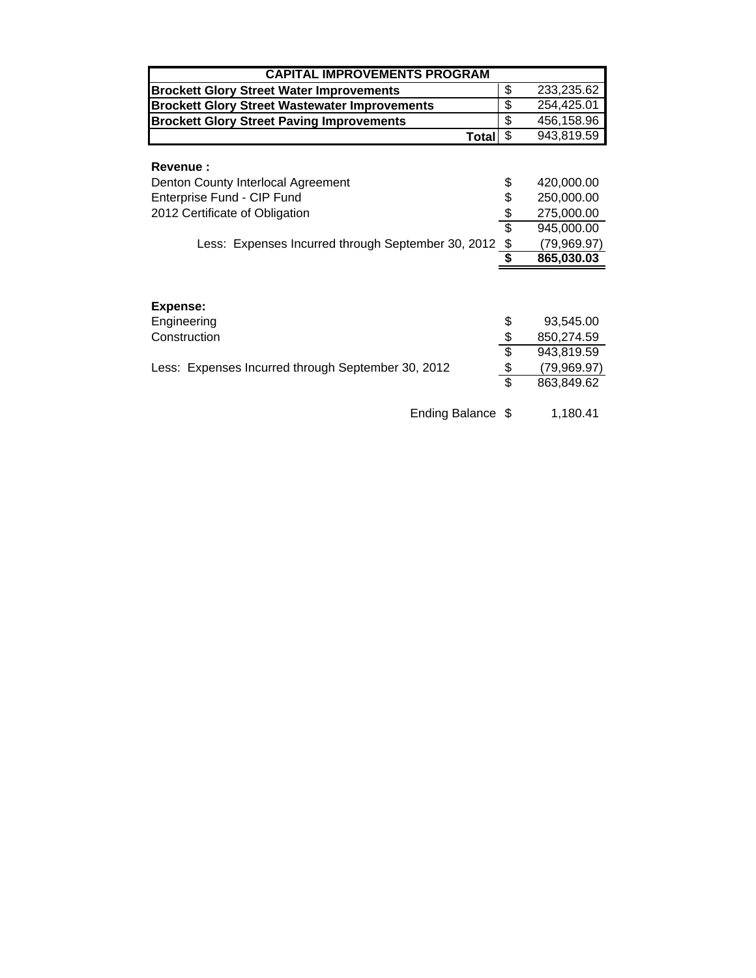| <b>CAPITAL IMPROVEMENTS PROGRAM</b>                  |                          |             |  |  |  |  |  |  |  |  |  |
|------------------------------------------------------|--------------------------|-------------|--|--|--|--|--|--|--|--|--|
| <b>Brockett Glory Street Water Improvements</b>      | \$                       | 233,235.62  |  |  |  |  |  |  |  |  |  |
| <b>Brockett Glory Street Wastewater Improvements</b> | \$                       | 254,425.01  |  |  |  |  |  |  |  |  |  |
| <b>Brockett Glory Street Paving Improvements</b>     | \$                       | 456,158.96  |  |  |  |  |  |  |  |  |  |
| <b>Total</b>                                         | \$                       | 943,819.59  |  |  |  |  |  |  |  |  |  |
| <b>Revenue:</b>                                      |                          |             |  |  |  |  |  |  |  |  |  |
| Denton County Interlocal Agreement                   | \$                       | 420,000.00  |  |  |  |  |  |  |  |  |  |
| Enterprise Fund - CIP Fund                           | \$                       | 250,000.00  |  |  |  |  |  |  |  |  |  |
| 2012 Certificate of Obligation                       | \$                       | 275,000.00  |  |  |  |  |  |  |  |  |  |
|                                                      | $\overline{\mathcal{E}}$ | 945,000.00  |  |  |  |  |  |  |  |  |  |
| Less: Expenses Incurred through September 30, 2012   | \$                       | (79,969.97) |  |  |  |  |  |  |  |  |  |
|                                                      | \$                       | 865,030.03  |  |  |  |  |  |  |  |  |  |
|                                                      |                          |             |  |  |  |  |  |  |  |  |  |
| Expense:                                             |                          |             |  |  |  |  |  |  |  |  |  |
| Engineering                                          | \$                       | 93,545.00   |  |  |  |  |  |  |  |  |  |
| Construction                                         | $\frac{1}{2}$            | 850,274.59  |  |  |  |  |  |  |  |  |  |
|                                                      | $\overline{\mathcal{L}}$ | 943,819.59  |  |  |  |  |  |  |  |  |  |
| Less: Expenses Incurred through September 30, 2012   | $\frac{1}{2}$            | (79,969.97) |  |  |  |  |  |  |  |  |  |
|                                                      | Ŝ                        | 863,849.62  |  |  |  |  |  |  |  |  |  |

Ending Balance  $$$  1,180.41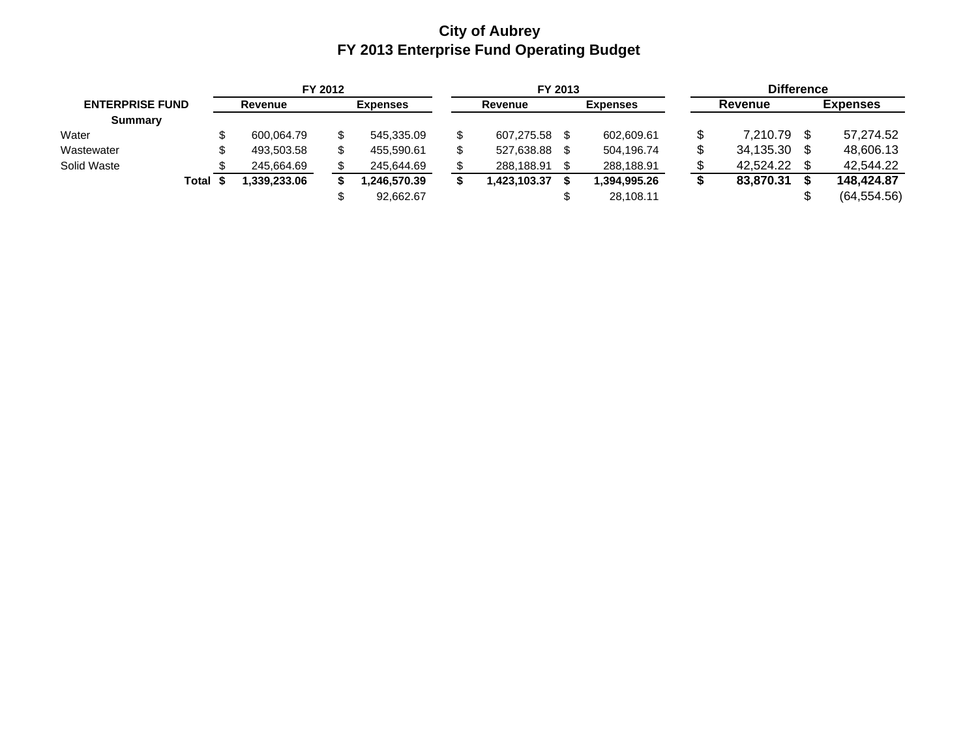### **City of Aubrey FY 2013 Enterprise Fund Operating Budget**

| FY 2012                |       |         |             | FY 2013         |              |         |              |  | <b>Difference</b> |         |           |                 |              |
|------------------------|-------|---------|-------------|-----------------|--------------|---------|--------------|--|-------------------|---------|-----------|-----------------|--------------|
| <b>ENTERPRISE FUND</b> |       | Revenue |             | <b>Expenses</b> |              | Revenue |              |  | <b>Expenses</b>   | Revenue |           | <b>Expenses</b> |              |
| <b>Summary</b>         |       |         |             |                 |              |         |              |  |                   |         |           |                 |              |
| Water                  |       |         | 600.064.79  |                 | 545.335.09   |         | 607,275.58   |  | 602.609.61        |         | 7.210.79  |                 | 57,274.52    |
| Wastewater             |       |         | 493,503.58  |                 | 455.590.61   |         | 527,638.88   |  | 504.196.74        |         | 34,135.30 |                 | 48.606.13    |
| Solid Waste            |       |         | 245,664.69  |                 | 245,644.69   |         | 288,188.91   |  | 288,188.91        |         | 42.524.22 |                 | 42.544.22    |
|                        | Total |         | .339.233.06 |                 | 1.246.570.39 |         | 1.423.103.37 |  | 1.394.995.26      |         | 83.870.31 |                 | 148,424.87   |
|                        |       |         |             |                 | 92,662.67    |         |              |  | 28,108.11         |         |           | S               | (64, 554.56) |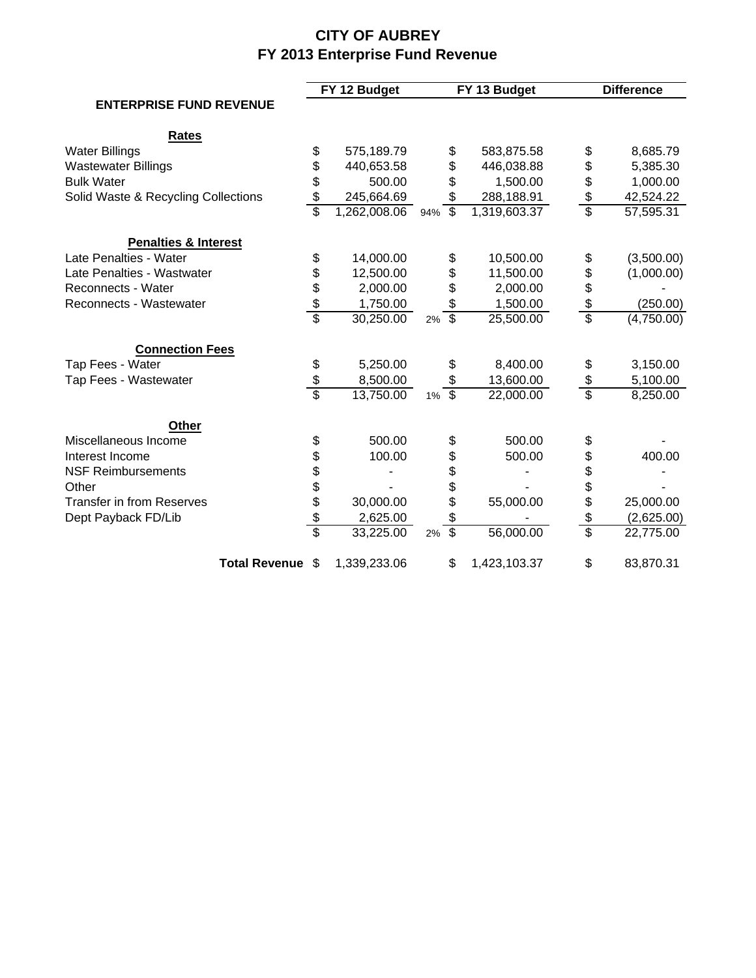# **CITY OF AUBREY FY 2013 Enterprise Fund Revenue**

|                                     |                      |              | FY 12 Budget |          |                          | FY 13 Budget | <b>Difference</b> |            |  |
|-------------------------------------|----------------------|--------------|--------------|----------|--------------------------|--------------|-------------------|------------|--|
| <b>ENTERPRISE FUND REVENUE</b>      |                      |              |              |          |                          |              |                   |            |  |
| <b>Rates</b>                        |                      |              |              |          |                          |              |                   |            |  |
| <b>Water Billings</b>               |                      | \$           | 575,189.79   |          | \$                       | 583,875.58   | \$                | 8,685.79   |  |
| <b>Wastewater Billings</b>          |                      | \$           | 440,653.58   |          | \$                       | 446,038.88   | \$                | 5,385.30   |  |
| <b>Bulk Water</b>                   |                      | \$           | 500.00       |          | \$                       | 1,500.00     | \$                | 1,000.00   |  |
| Solid Waste & Recycling Collections |                      | \$           | 245,664.69   |          | \$                       | 288,188.91   | \$                | 42,524.22  |  |
|                                     |                      | \$           | 1,262,008.06 | 94%      | $\overline{\mathcal{S}}$ | 1,319,603.37 | \$                | 57,595.31  |  |
| <b>Penalties &amp; Interest</b>     |                      |              |              |          |                          |              |                   |            |  |
| Late Penalties - Water              |                      | \$           | 14,000.00    |          | \$                       | 10,500.00    | \$                | (3,500.00) |  |
| Late Penalties - Wastwater          |                      |              | 12,500.00    |          | \$                       | 11,500.00    | \$                | (1,000.00) |  |
| Reconnects - Water                  |                      |              | 2,000.00     |          | \$                       | 2,000.00     | \$                |            |  |
| Reconnects - Wastewater             |                      | \$\$\$\$     | 1,750.00     |          | \$                       | 1,500.00     | \$                | (250.00)   |  |
|                                     |                      |              | 30,250.00    | 2%       | $\overline{\mathcal{S}}$ | 25,500.00    | \$                | (4,750.00) |  |
| <b>Connection Fees</b>              |                      |              |              |          |                          |              |                   |            |  |
| Tap Fees - Water                    |                      | \$           | 5,250.00     |          | \$                       | 8,400.00     | \$                | 3,150.00   |  |
| Tap Fees - Wastewater               |                      | \$           | 8,500.00     |          | \$                       | 13,600.00    | \$                | 5,100.00   |  |
|                                     |                      | Ŝ            | 13,750.00    | $1\%$ \$ |                          | 22,000.00    | $\overline{\$}$   | 8,250.00   |  |
| <b>Other</b>                        |                      |              |              |          |                          |              |                   |            |  |
| Miscellaneous Income                |                      | \$           | 500.00       |          | \$                       | 500.00       | \$                |            |  |
| Interest Income                     |                      |              | 100.00       |          |                          | 500.00       | \$                | 400.00     |  |
| <b>NSF Reimbursements</b>           |                      |              |              |          | \$\$\$\$                 |              |                   |            |  |
| Other                               |                      |              |              |          |                          |              | \$<br>\$          |            |  |
| <b>Transfer in from Reserves</b>    |                      |              | 30,000.00    |          |                          | 55,000.00    | \$                | 25,000.00  |  |
| Dept Payback FD/Lib                 |                      | \$\$\$\$\$\$ | 2,625.00     |          | \$                       |              | \$                | (2,625.00) |  |
|                                     |                      |              | 33,225.00    | 2%       | $\overline{\$}$          | 56,000.00    | \$                | 22,775.00  |  |
|                                     | <b>Total Revenue</b> | \$           | 1,339,233.06 |          | \$                       | 1,423,103.37 | \$                | 83,870.31  |  |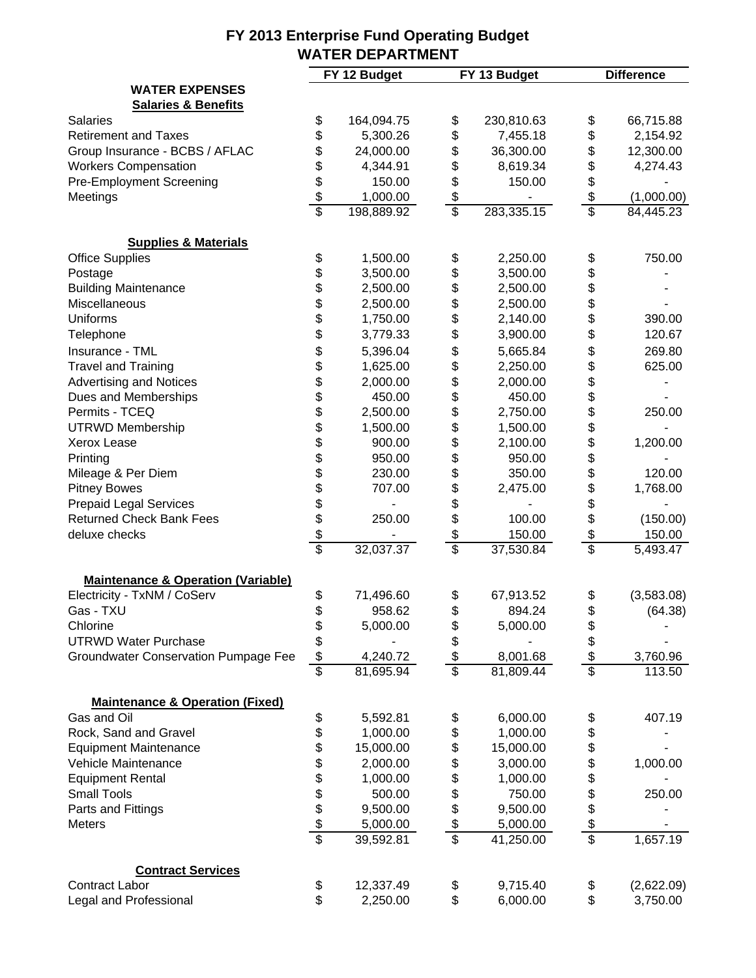|                                               |                  | FY 12 Budget |                 | FY 13 Budget |                           | <b>Difference</b>     |
|-----------------------------------------------|------------------|--------------|-----------------|--------------|---------------------------|-----------------------|
| <b>WATER EXPENSES</b>                         |                  |              |                 |              |                           |                       |
| <b>Salaries &amp; Benefits</b>                |                  |              |                 |              |                           |                       |
| <b>Salaries</b>                               | \$               | 164,094.75   | \$              | 230,810.63   | \$                        | 66,715.88             |
| <b>Retirement and Taxes</b>                   | \$               | 5,300.26     | \$              | 7,455.18     | \$                        | 2,154.92              |
| Group Insurance - BCBS / AFLAC                | \$               | 24,000.00    | \$              | 36,300.00    | \$                        | 12,300.00             |
| <b>Workers Compensation</b>                   | \$               | 4,344.91     | \$              | 8,619.34     | \$                        | 4,274.43              |
| <b>Pre-Employment Screening</b>               | \$               | 150.00       | \$              | 150.00       | \$                        |                       |
| Meetings                                      | $rac{6}{3}$      | 1,000.00     | \$              |              | \$                        | (1,000.00)            |
|                                               |                  | 198,889.92   | \$              | 283,335.15   | $\overline{\mathfrak{s}}$ | 84,445.23             |
| <b>Supplies &amp; Materials</b>               |                  |              |                 |              |                           |                       |
| <b>Office Supplies</b>                        | \$               | 1,500.00     | \$              | 2,250.00     | \$                        | 750.00                |
| Postage                                       | \$               | 3,500.00     | \$              | 3,500.00     | \$                        |                       |
| <b>Building Maintenance</b>                   | \$               | 2,500.00     | \$              | 2,500.00     |                           |                       |
| Miscellaneous                                 |                  | 2,500.00     | \$              | 2,500.00     | \$\$\$                    |                       |
| <b>Uniforms</b>                               |                  | 1,750.00     | \$              | 2,140.00     |                           | 390.00                |
| Telephone                                     | \$\$             | 3,779.33     | \$              | 3,900.00     |                           | 120.67                |
| Insurance - TML                               | \$               | 5,396.04     | \$              | 5,665.84     | \$                        | 269.80                |
| <b>Travel and Training</b>                    | \$               | 1,625.00     | \$              | 2,250.00     | \$                        | 625.00                |
| <b>Advertising and Notices</b>                |                  | 2,000.00     | \$              | 2,000.00     |                           |                       |
| Dues and Memberships                          |                  | 450.00       | \$              | 450.00       | \$\$\$\$                  |                       |
| Permits - TCEQ                                |                  | 2,500.00     | \$              | 2,750.00     |                           | 250.00                |
| <b>UTRWD Membership</b>                       |                  | 1,500.00     | \$              | 1,500.00     |                           |                       |
| <b>Xerox Lease</b>                            | 888888888        | 900.00       | \$              | 2,100.00     | \$                        | 1,200.00              |
|                                               |                  | 950.00       | \$              | 950.00       |                           |                       |
| Printing                                      |                  |              |                 |              | \$\$\$\$\$                |                       |
| Mileage & Per Diem                            |                  | 230.00       | \$<br>\$        | 350.00       |                           | 120.00                |
| <b>Pitney Bowes</b>                           |                  | 707.00       |                 | 2,475.00     |                           | 1,768.00              |
| <b>Prepaid Legal Services</b>                 |                  |              | \$              |              |                           |                       |
| <b>Returned Check Bank Fees</b>               |                  | 250.00       | \$              | 100.00       |                           | (150.00)              |
| deluxe checks                                 |                  |              |                 | 150.00       | $\boldsymbol{\mathsf{S}}$ | 150.00                |
|                                               |                  | 32,037.37    | \$              | 37,530.84    | $\overline{\$}$           | $\overline{5,}493.47$ |
| <b>Maintenance &amp; Operation (Variable)</b> |                  |              |                 |              |                           |                       |
| Electricity - TxNM / CoServ                   | \$               | 71,496.60    | \$              | 67,913.52    | \$                        | (3,583.08)            |
| Gas - TXU                                     | \$               | 958.62       | \$              | 894.24       | \$                        | (64.38)               |
| Chlorine                                      | \$               | 5,000.00     | \$              | 5,000.00     | \$                        |                       |
| <b>UTRWD Water Purchase</b>                   | $\frac{1}{2}$    |              | \$              |              | \$                        |                       |
| <b>Groundwater Conservation Pumpage Fee</b>   |                  | 4,240.72     | \$              | 8,001.68     | \$                        | 3,760.96              |
|                                               |                  | 81,695.94    | $\overline{\$}$ | 81,809.44    | $\overline{\$}$           | 113.50                |
| <b>Maintenance &amp; Operation (Fixed)</b>    |                  |              |                 |              |                           |                       |
| Gas and Oil                                   | \$               | 5,592.81     | \$              | 6,000.00     | \$                        | 407.19                |
| Rock, Sand and Gravel                         | \$               | 1,000.00     | \$              | 1,000.00     | \$                        |                       |
| <b>Equipment Maintenance</b>                  |                  | 15,000.00    | \$              | 15,000.00    | \$                        |                       |
| Vehicle Maintenance                           |                  | 2,000.00     |                 | 3,000.00     |                           | 1,000.00              |
| <b>Equipment Rental</b>                       |                  | 1,000.00     | \$              | 1,000.00     | \$\$\$                    |                       |
| <b>Small Tools</b>                            |                  | 500.00       | \$              | 750.00       |                           | 250.00                |
| Parts and Fittings                            |                  | 9,500.00     | \$              | 9,500.00     |                           |                       |
| <b>Meters</b>                                 |                  | 5,000.00     | \$              | 5,000.00     | \$                        |                       |
|                                               | 8 \$ \$ \$ \$ \$ | 39,592.81    | \$              | 41,250.00    | \$                        | 1,657.19              |
| <b>Contract Services</b>                      |                  |              |                 |              |                           |                       |
| <b>Contract Labor</b>                         | \$               | 12,337.49    | \$              | 9,715.40     | \$                        | (2,622.09)            |
| Legal and Professional                        | \$               | 2,250.00     | \$              | 6,000.00     | \$                        | 3,750.00              |
|                                               |                  |              |                 |              |                           |                       |

#### **FY 2013 Enterprise Fund Operating Budget WATER DEPARTMENT**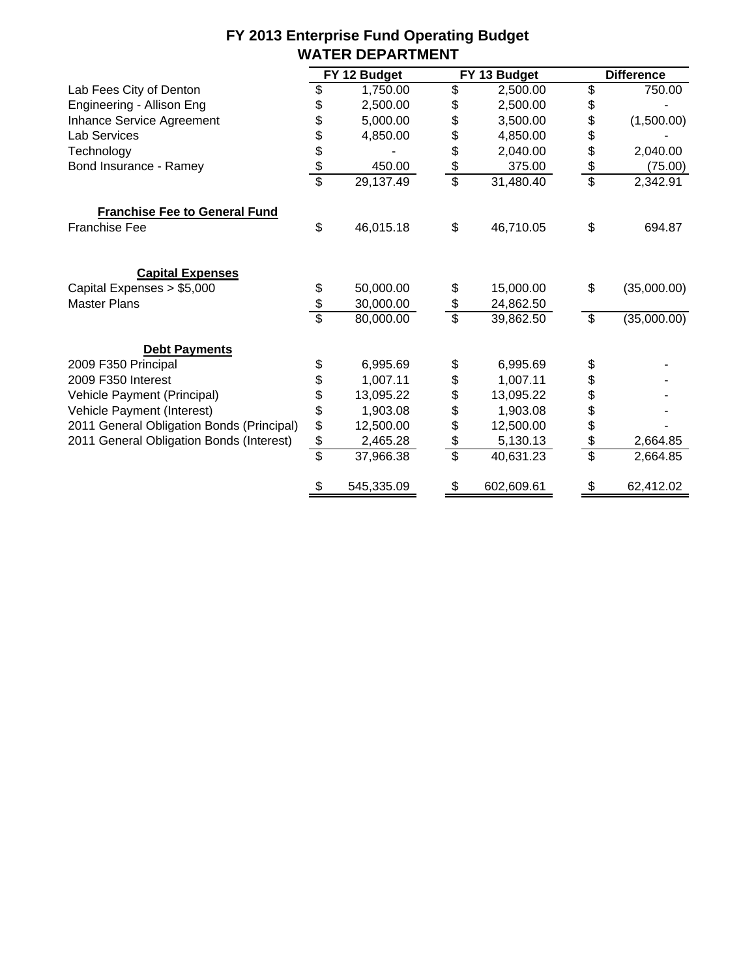| FY 2013 Enterprise Fund Operating Budget |  |
|------------------------------------------|--|
| <b>WATER DEPARTMENT</b>                  |  |

|                                           |               | FY 12 Budget |                          | FY 13 Budget | <b>Difference</b> |             |  |
|-------------------------------------------|---------------|--------------|--------------------------|--------------|-------------------|-------------|--|
| Lab Fees City of Denton                   | \$            | 1,750.00     | \$                       | 2,500.00     | \$                | 750.00      |  |
| Engineering - Allison Eng                 | \$            | 2,500.00     | \$                       | 2,500.00     | \$                |             |  |
| Inhance Service Agreement                 | \$            | 5,000.00     | \$                       | 3,500.00     | \$                | (1,500.00)  |  |
| Lab Services                              | \$            | 4,850.00     | \$                       | 4,850.00     | \$                |             |  |
| Technology                                |               |              | \$                       | 2,040.00     |                   | 2,040.00    |  |
| Bond Insurance - Ramey                    | $\frac{6}{3}$ | 450.00       | \$                       | 375.00       | \$                | (75.00)     |  |
|                                           |               | 29,137.49    | $\overline{\mathcal{S}}$ | 31,480.40    | \$                | 2,342.91    |  |
| <b>Franchise Fee to General Fund</b>      |               |              |                          |              |                   |             |  |
| <b>Franchise Fee</b>                      | \$            | 46,015.18    | \$                       | 46,710.05    | \$                | 694.87      |  |
| <b>Capital Expenses</b>                   |               |              |                          |              |                   |             |  |
| Capital Expenses > \$5,000                | \$            | 50,000.00    | \$                       | 15,000.00    | \$                | (35,000.00) |  |
| <b>Master Plans</b>                       | $\frac{3}{3}$ | 30,000.00    | \$                       | 24,862.50    |                   |             |  |
|                                           |               | 80,000.00    | \$                       | 39,862.50    | \$                | (35,000.00) |  |
| <b>Debt Payments</b>                      |               |              |                          |              |                   |             |  |
| 2009 F350 Principal                       | \$            | 6,995.69     | \$                       | 6,995.69     | \$                |             |  |
| 2009 F350 Interest                        | \$            | 1,007.11     | \$                       | 1,007.11     | \$                |             |  |
| Vehicle Payment (Principal)               | \$            | 13,095.22    | \$                       | 13,095.22    | \$                |             |  |
| Vehicle Payment (Interest)                | \$            | 1,903.08     | \$                       | 1,903.08     | \$                |             |  |
| 2011 General Obligation Bonds (Principal) | \$            | 12,500.00    | \$                       | 12,500.00    | \$                |             |  |
| 2011 General Obligation Bonds (Interest)  | $\frac{1}{2}$ | 2,465.28     | \$                       | 5,130.13     | \$                | 2,664.85    |  |
|                                           | \$            | 37,966.38    | s                        | 40,631.23    | \$                | 2,664.85    |  |
|                                           | æ.            | 545,335.09   |                          | 602,609.61   | æ.                | 62,412.02   |  |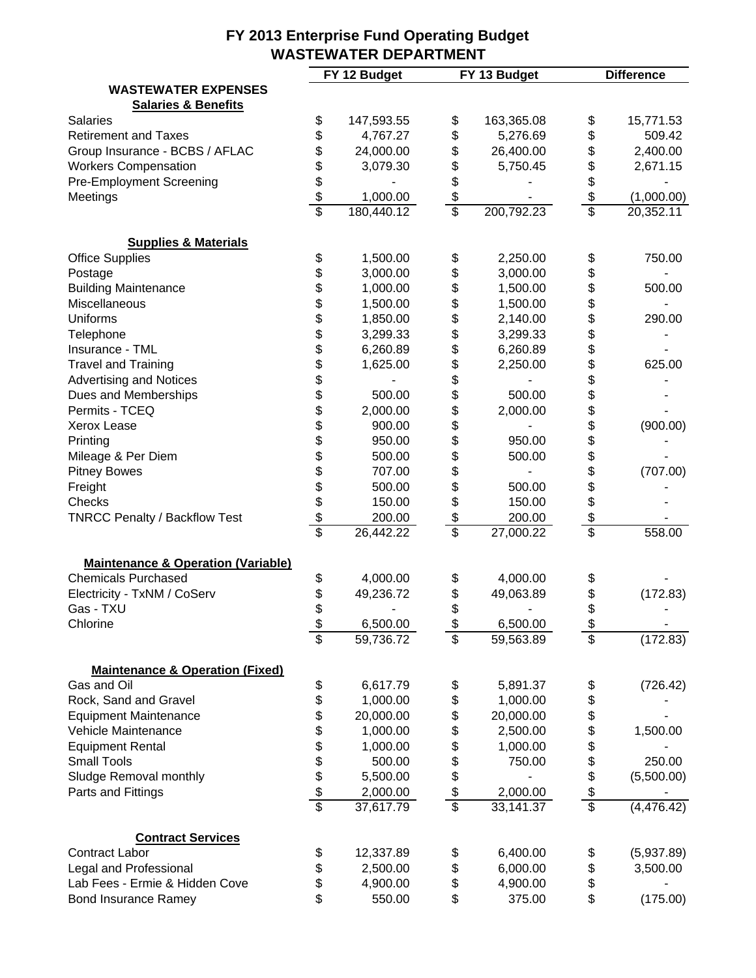|                                               |                   | FY 12 Budget | FY 13 Budget     |                                           | <b>Difference</b> |
|-----------------------------------------------|-------------------|--------------|------------------|-------------------------------------------|-------------------|
| <b>WASTEWATER EXPENSES</b>                    |                   |              |                  |                                           |                   |
| <b>Salaries &amp; Benefits</b>                |                   |              |                  |                                           |                   |
| <b>Salaries</b>                               | \$                | 147,593.55   | \$<br>163,365.08 | \$                                        | 15,771.53         |
| <b>Retirement and Taxes</b>                   | \$                | 4,767.27     | \$<br>5,276.69   | \$                                        | 509.42            |
| Group Insurance - BCBS / AFLAC                | \$                | 24,000.00    | \$<br>26,400.00  | \$                                        | 2,400.00          |
| <b>Workers Compensation</b>                   | \$                | 3,079.30     | \$<br>5,750.45   | \$                                        | 2,671.15          |
| <b>Pre-Employment Screening</b>               |                   |              | \$               | \$                                        |                   |
| Meetings                                      | $\frac{1}{2}$     | 1,000.00     | \$               | $\frac{1}{2}$<br>$\overline{\mathcal{S}}$ | (1,000.00)        |
|                                               |                   | 180,440.12   | \$<br>200,792.23 |                                           | 20,352.11         |
| <b>Supplies &amp; Materials</b>               |                   |              |                  |                                           |                   |
| <b>Office Supplies</b>                        | \$                | 1,500.00     | \$<br>2,250.00   | \$                                        | 750.00            |
| Postage                                       | \$                | 3,000.00     | \$<br>3,000.00   | \$                                        |                   |
| <b>Building Maintenance</b>                   | \$                | 1,000.00     | \$<br>1,500.00   | \$                                        | 500.00            |
| Miscellaneous                                 | \$<br>\$          | 1,500.00     | \$<br>1,500.00   | \$                                        |                   |
| <b>Uniforms</b>                               |                   | 1,850.00     | \$<br>2,140.00   | \$                                        | 290.00            |
| Telephone                                     | \$                | 3,299.33     | \$<br>3,299.33   | \$                                        |                   |
| Insurance - TML                               | \$<br>\$          | 6,260.89     | \$<br>6,260.89   | \$                                        |                   |
| <b>Travel and Training</b>                    |                   | 1,625.00     | \$<br>2,250.00   | \$                                        | 625.00            |
| <b>Advertising and Notices</b>                | \$\$              |              | \$               | \$<br>\$                                  |                   |
| Dues and Memberships                          |                   | 500.00       | \$<br>500.00     |                                           |                   |
| Permits - TCEQ                                |                   | 2,000.00     | \$<br>2,000.00   | \$                                        |                   |
| <b>Xerox Lease</b>                            |                   | 900.00       | \$               |                                           | (900.00)          |
| Printing                                      | 8 8 8 8 8 8 8 8 8 | 950.00       | \$<br>950.00     | \$\$\$\$\$\$                              |                   |
| Mileage & Per Diem                            |                   | 500.00       | \$<br>500.00     |                                           |                   |
| <b>Pitney Bowes</b>                           |                   | 707.00       | \$               |                                           | (707.00)          |
| Freight                                       |                   | 500.00       | \$<br>500.00     |                                           |                   |
| Checks                                        |                   | 150.00       | \$<br>150.00     |                                           |                   |
| <b>TNRCC Penalty / Backflow Test</b>          |                   | 200.00       | \$<br>200.00     | \$                                        |                   |
|                                               |                   | 26,442.22    | \$<br>27,000.22  | $\overline{\mathbb{S}}$                   | 558.00            |
| <b>Maintenance &amp; Operation (Variable)</b> |                   |              |                  |                                           |                   |
| <b>Chemicals Purchased</b>                    | \$                | 4,000.00     | \$<br>4,000.00   | \$                                        |                   |
| Electricity - TxNM / CoServ                   | \$                | 49,236.72    | \$<br>49,063.89  | \$                                        | (172.83)          |
| Gas - TXU                                     | \$                |              | \$               | \$                                        |                   |
| Chlorine                                      | \$                | 6,500.00     | \$<br>6,500.00   | \$                                        |                   |
|                                               | \$                | 59,736.72    | \$<br>59,563.89  | \$                                        | (172.83)          |
|                                               |                   |              |                  |                                           |                   |
| <b>Maintenance &amp; Operation (Fixed)</b>    |                   |              |                  |                                           |                   |
| Gas and Oil                                   |                   | 6,617.79     | \$<br>5,891.37   | \$                                        | (726.42)          |
| Rock, Sand and Gravel                         |                   | 1,000.00     | \$<br>1,000.00   | \$                                        |                   |
| <b>Equipment Maintenance</b>                  |                   | 20,000.00    | \$<br>20,000.00  | \$                                        |                   |
| Vehicle Maintenance                           |                   | 1,000.00     | \$<br>2,500.00   | \$\$\$\$\$                                | 1,500.00          |
| <b>Equipment Rental</b>                       |                   | 1,000.00     | \$<br>1,000.00   |                                           |                   |
| <b>Small Tools</b>                            |                   | 500.00       | \$<br>750.00     |                                           | 250.00            |
| Sludge Removal monthly                        |                   | 5,500.00     |                  |                                           | (5,500.00)        |
| Parts and Fittings                            |                   | 2,000.00     | \$<br>2,000.00   |                                           |                   |
|                                               |                   | 37,617.79    | \$<br>33,141.37  | $\overline{\$}$                           | (4, 476.42)       |
| <b>Contract Services</b>                      |                   |              |                  |                                           |                   |
| <b>Contract Labor</b>                         | \$                | 12,337.89    | \$<br>6,400.00   | \$                                        | (5,937.89)        |
| Legal and Professional                        | \$                | 2,500.00     | \$<br>6,000.00   | \$                                        | 3,500.00          |
| Lab Fees - Ermie & Hidden Cove                | \$                | 4,900.00     | \$<br>4,900.00   | \$                                        |                   |
| <b>Bond Insurance Ramey</b>                   | \$                | 550.00       | \$<br>375.00     | \$                                        | (175.00)          |
|                                               |                   |              |                  |                                           |                   |

### **FY 2013 Enterprise Fund Operating Budget WASTEWATER DEPARTMENT**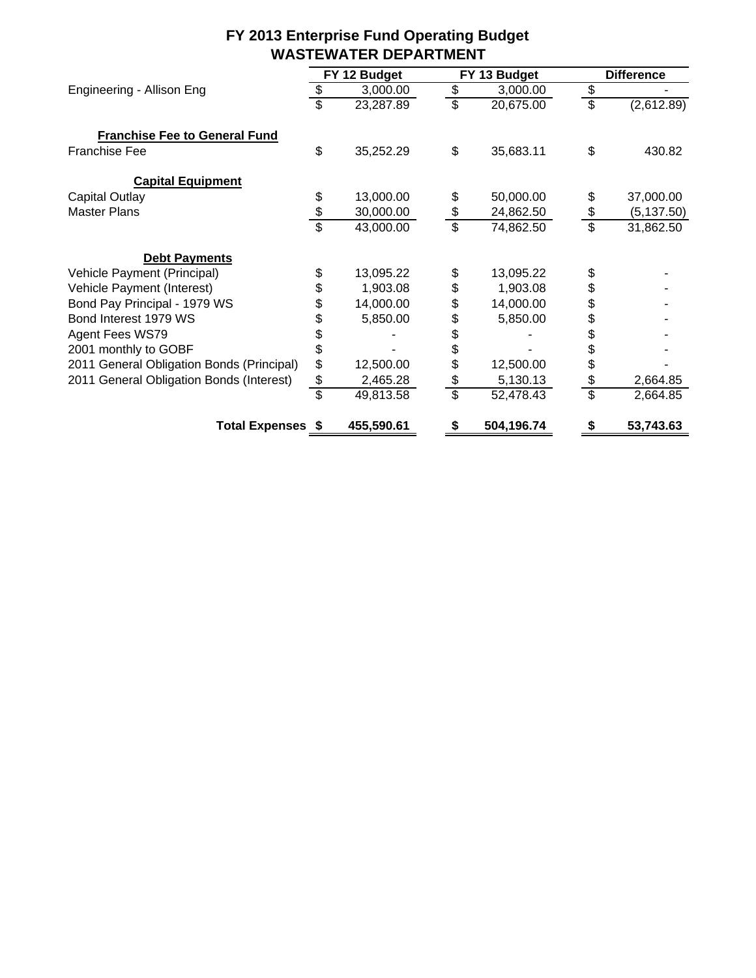|                                           |                           | FY 12 Budget |                 | FY 13 Budget |                 | <b>Difference</b> |
|-------------------------------------------|---------------------------|--------------|-----------------|--------------|-----------------|-------------------|
| Engineering - Allison Eng                 | \$                        | 3,000.00     | \$              | 3,000.00     | \$              |                   |
|                                           | $\overline{\mathbb{S}}$   | 23,287.89    | $\overline{\$}$ | 20,675.00    | $\overline{\$}$ | (2,612.89)        |
| <b>Franchise Fee to General Fund</b>      |                           |              |                 |              |                 |                   |
| <b>Franchise Fee</b>                      | \$                        | 35,252.29    | \$              | 35,683.11    | \$              | 430.82            |
| <b>Capital Equipment</b>                  |                           |              |                 |              |                 |                   |
| <b>Capital Outlay</b>                     | \$                        | 13,000.00    | \$              | 50,000.00    | \$              | 37,000.00         |
| <b>Master Plans</b>                       | $\frac{3}{3}$             | 30,000.00    | $\frac{6}{3}$   | 24,862.50    | \$              | (5, 137.50)       |
|                                           |                           | 43,000.00    |                 | 74,862.50    | \$              | 31,862.50         |
| <b>Debt Payments</b>                      |                           |              |                 |              |                 |                   |
| Vehicle Payment (Principal)               | \$                        | 13,095.22    | \$              | 13,095.22    | \$              |                   |
| Vehicle Payment (Interest)                | \$                        | 1,903.08     | \$              | 1,903.08     | \$              |                   |
| Bond Pay Principal - 1979 WS              | \$                        | 14,000.00    | \$              | 14,000.00    | \$              |                   |
| Bond Interest 1979 WS                     | \$                        | 5,850.00     | \$              | 5,850.00     | \$              |                   |
| Agent Fees WS79                           | \$                        |              | \$              |              | \$              |                   |
| 2001 monthly to GOBF                      | \$                        |              | \$              |              | \$              |                   |
| 2011 General Obligation Bonds (Principal) | \$                        | 12,500.00    | \$              | 12,500.00    | \$              |                   |
| 2011 General Obligation Bonds (Interest)  | $\frac{1}{2}$             | 2,465.28     | \$              | 5,130.13     | \$              | 2,664.85          |
|                                           | $\overline{\mathfrak{s}}$ | 49,813.58    | $\overline{\$}$ | 52,478.43    | \$              | 2,664.85          |
| <b>Total Expenses \$</b>                  |                           | 455,590.61   | S               | 504,196.74   | S               | 53,743.63         |

## **FY 2013 Enterprise Fund Operating Budget WASTEWATER DEPARTMENT**